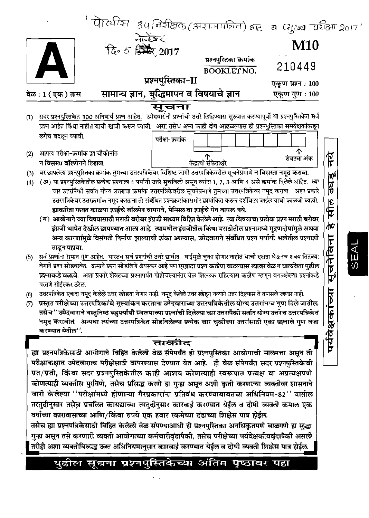|     |                                                                                                                                                                                                                                                   |                                           | पोर्त्थास उपनिरीक्षक (अराजपत्रित) हा - व (मुख्य परीक्षा २०१७'<br>केन्द्रेखर<br>हि 5 सिल, 2017 |                  |      |
|-----|---------------------------------------------------------------------------------------------------------------------------------------------------------------------------------------------------------------------------------------------------|-------------------------------------------|-----------------------------------------------------------------------------------------------|------------------|------|
|     |                                                                                                                                                                                                                                                   |                                           |                                                                                               |                  |      |
|     |                                                                                                                                                                                                                                                   |                                           |                                                                                               |                  |      |
|     |                                                                                                                                                                                                                                                   | प्रश्नपुस्तिका क्रमांक                    |                                                                                               |                  |      |
|     |                                                                                                                                                                                                                                                   | <b>BOOKLET NO.</b>                        | 210449                                                                                        |                  |      |
|     |                                                                                                                                                                                                                                                   | प्रश्नपुस्तिका-II                         | एकूण प्रश्न : 100                                                                             |                  |      |
|     | वेळ : 1 ( एक ) तास                                                                                                                                                                                                                                | सामान्य ज्ञान, बुद्धिमापन व विषयाचे ज्ञान | एकूण गुण: 100                                                                                 |                  |      |
|     |                                                                                                                                                                                                                                                   | सूचना                                     |                                                                                               |                  |      |
| (1) | सदर प्रश्नपुस्तिकेत 100 अनिवार्य प्रश्न आहेत. उमेदवारांनी प्रश्नांची उत्तरे लिहिण्यास सुरुवात करण्यापूर्वी या प्रश्नपुस्तिकेत सर्व                                                                                                                |                                           |                                                                                               |                  |      |
|     | प्रश्न आहेत किंवा नाहीत याची खात्री करून घ्यावी. असा तसेच अन्य काही दोष आढळल्यास ही प्रश्नपुस्तिका समवेक्षकांकडून                                                                                                                                 |                                           |                                                                                               |                  |      |
|     | लगेच बदलून घ्यावी.                                                                                                                                                                                                                                | परीक्षा-क्रमांक                           |                                                                                               |                  |      |
| (2) | आपला परीक्षा-क्रमांक ह्या चौकोनांत                                                                                                                                                                                                                |                                           | 个                                                                                             |                  |      |
|     | न विसरता बॉल्पेनने लिहावा.                                                                                                                                                                                                                        | <b>केंद्राची संकेता</b> क्षरे             | शेवटचा अंक                                                                                    | ፑ                |      |
| (3) | वर छापलेला प्रश्नपुस्तिका क्रमांक तुमच्या उत्तरपत्रिकेवर विशिष्ट जागी उत्तरपत्रिकेवरील सूचनेप्रमाणे न विसरता नमूद करावा.                                                                                                                          |                                           |                                                                                               |                  |      |
| (4) | (अ) या प्रश्नपुस्तिकेतील प्रत्येक प्रश्नाला 4 पर्यायी उत्तरे सुचविली असून त्यांना 1, 2, 3 आणि 4 असे क्रमांक दिलेले आहेत. त्या                                                                                                                     |                                           |                                                                                               | ेले<br>पुर       |      |
|     | चार उत्तरांपैकी सर्वात योग्य उत्तराचा क्रमांक उत्तरपत्रिकेवरील सूचनेप्रमाणे तुमच्या उत्तरपत्रिकेवर नमूद करावा.  अशा प्रकारे                                                                                                                       |                                           |                                                                                               |                  |      |
|     | उत्तरपत्रिकेवर उत्तरक्रमांक नमूद करताना तो संबंधित प्रश्नक्रमांकासमोर छायांकित करून दर्शविला जाईल याची काळजी घ्यावी.                                                                                                                              |                                           |                                                                                               |                  |      |
|     | ह्याकरिता फक्त काळ्या शाईचे बॉल्प्रेन वापरावे, पेन्सिल वा शाईचे पेन वापरू नये.                                                                                                                                                                    |                                           |                                                                                               | सील              |      |
|     | (ब) आयोगाने ज्या विषयासाठी मराठी बरोबर इंग्रजी माध्यम विहित केलेलेआहे. त्या विषयाचा प्रत्येक प्रश्न मराठी बरोबर                                                                                                                                   |                                           |                                                                                               |                  |      |
|     | इंग्रजी भाषेत देखील छापण्यात आत्य आहे.  त्यामधील इंग्रजीतील किंवा मराठीतील प्रश्नामध्ये मुद्रणदोषांमुळे अथवा                                                                                                                                      |                                           |                                                                                               | Ψ                |      |
|     | अन्य कारणांमुळे विसंगती निर्माण झाल्याची शंका आल्यास, उमेदवाराने संबंधित प्रश्न पर्यांयी भाषेतील प्रश्नाशी                                                                                                                                        |                                           |                                                                                               |                  |      |
|     | ताडून पहावा.                                                                                                                                                                                                                                      |                                           |                                                                                               |                  |      |
| (5) | <u>सर्व प्रश्</u> नांना समान गुण आहेत. यास्तव सर्व प्रश्नांची उत्तरे द्यावीत. घाईमुळे चुका होणार नाहीत याची दक्षता घेऊनच शक्य तितक्या                                                                                                             |                                           |                                                                                               | सूचनेविना        | SEAL |
|     | वेगाने प्रश्न सोडवावेत.  क्रमाने प्रश्न सोडविणे श्रेयस्कर आहे पण एखादा प्रश्न कठीण वाटल्यास त्यावर वेळ न घालविता पुढील                                                                                                                            |                                           |                                                                                               |                  |      |
|     | प्रश्नाकडे वळावे. अशा प्रकारे शेवटच्या प्रश्नापर्यंत पोहोचल्यानंतर वेळ शिल्लक राहिल्यास कठीण म्हणून वगळलेल्या प्रश्नांकडे                                                                                                                         |                                           |                                                                                               |                  |      |
|     | परतणे सोईस्कर ठरेल.                                                                                                                                                                                                                               |                                           |                                                                                               |                  |      |
| (6) | उत्तरपत्रिकेत एकदा नमूद केलेले उत्तर खोडता येणार नाही. नमूद केलेले उत्तर खोडून नव्याने उत्तर दिल्यास ते तपासले जाणार नाही.                                                                                                                        |                                           |                                                                                               |                  |      |
| (7) | प्रस्तुत परीक्षेच्या उत्तरपत्रिकांचे मूल्यांकेन करताना उमेदवाराच्या उत्तरपत्रिकेतील योग्य उत्तरांनाच गुण दिले जातील<br>तसेच ''उमेदवाराने वस्तुनिष्ठ बहुपर्यांची स्वरूपाच्या प्रश्नांची दिलेल्या चार उत्तरायैकी सर्वात योग्य उत्तरेच उत्तरपत्रिकेत |                                           |                                                                                               |                  |      |
|     | नमूद करावीत.  अन्यथा त्यांच्या उत्तरपत्रिकेत सोडविलेल्या प्रत्येक चार चुकीच्या उत्तरांसाठी एका प्रश्नाचे गुण वजा                                                                                                                                  |                                           |                                                                                               |                  |      |
|     | करण्यात येतील''.                                                                                                                                                                                                                                  |                                           |                                                                                               |                  |      |
|     |                                                                                                                                                                                                                                                   | ताकीद                                     |                                                                                               | पर्यवेक्षकांच्या |      |
|     | ह्या प्रश्नपत्रिकेसाठी आयोगाने विहित केलेली वेळ सॅंपेपर्यंत ही प्रश्नपुस्तिका आयोगाची मालमत्ता असून ती                                                                                                                                            |                                           |                                                                                               |                  |      |
|     | परीक्षाकक्षात उमेदवाराला परीक्षेसाठी वापरण्यास देण्यात येत आहे. ही वेळ संपेपर्यंत सदर प्रश्नपुस्तिकेची                                                                                                                                            |                                           |                                                                                               |                  |      |
|     | प्रत/प्रती, किंवा सदर प्रश्नपुस्तिकेतील काही आशय कोणत्याही स्वरूपात प्रत्यक्ष वा अप्रत्यक्षपणे                                                                                                                                                    |                                           |                                                                                               |                  |      |
|     | कोणत्याही व्यक्तीस पुरविणे, तसेच प्रसिद्ध करणे हा गुन्हा असून अशी कृती करणाऱ्या व्यक्तीवर शासनाने                                                                                                                                                 |                                           |                                                                                               |                  |      |
|     |                                                                                                                                                                                                                                                   |                                           |                                                                                               |                  |      |
|     | जारी केलेल्या ''परीक्षांमध्ये होणाऱ्या गैरप्रकारांना प्रतिबंध करण्याबाबतचा अधिनियम-82'' यातील                                                                                                                                                     |                                           |                                                                                               |                  |      |
|     | तरतुदीनुसार तसेच्न प्रचल्जि कायद्याच्या तरतुदीनुसार कारवाई करण्यात येईल व दोषी व्यक्ती कमाल एक                                                                                                                                                    |                                           |                                                                                               |                  |      |
|     | वर्षाच्या कारावासाच्या आणि/किंवा रुपये एक हजार रकमेच्या दंडाच्या शिक्षेस पात्र होईल                                                                                                                                                               |                                           |                                                                                               |                  |      |
|     | तसेच ह्या प्रश्नपत्रिकेसाठी विहित केलेली वेळ संपण्याआधी ही प्रश्नपुस्तिका अनधिकृतपणे बाळगणे हा सुद्धा                                                                                                                                             |                                           |                                                                                               |                  |      |
|     | गुन्हा असून तसे करणारी व्यक्ती आयोगाच्या कर्मचारीवृंदापैकी, तसेच परीक्षेच्या पर्यवेक्षकीयवृंदापैकी असली                                                                                                                                           |                                           |                                                                                               |                  |      |
|     | तरीही अशा व्यक्तीविरूद्ध उक्त अधिनियमानुसार कारवाई करण्यात येईल व दोषी व्यक्ती शिक्षेस पात्र होईल.                                                                                                                                                |                                           |                                                                                               |                  |      |

पुढील सूचना प्रश्नपुस्तिकेच्या अंतिम पृष्ठावर पहा

 $\sigma_{\rm{eff}}$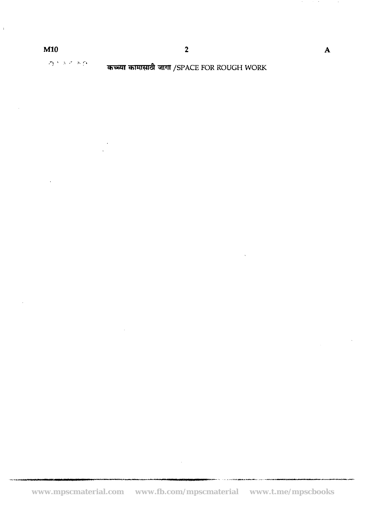$\sqrt{2}$  and  $\sqrt{2}$  and  $\sqrt{2}$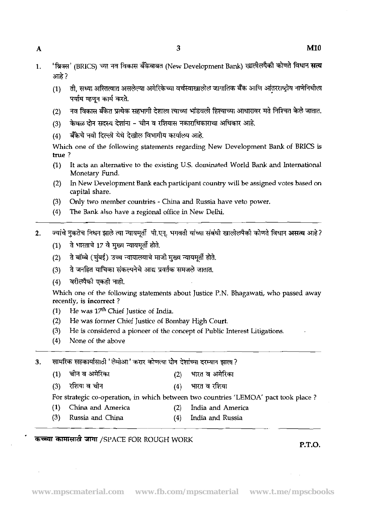- 1. 'ब्रिक्स' (BRICS) च्या नव विकास बँकेबाबत (New Development Bank) खालीलपैकी कोणते विधान **सत्य** आहे.?
	- ती. सध्या अस्तित्वात असलेल्या अमेरिकेच्या वर्चस्वाखालील जागातिक बँक आणि आंतरराष्ट्रीय नाणेनिधीला  $(1)$ पर्याय म्हणून कार्य करते.
	- नव विकास बँकेत प्रत्येक सहभागी देशाला त्याच्या भांडवली हिश्याच्या आधारावर मते निश्चित केले जातात.  $(2)$
	- (3) केवळ दोन सदस्य देशांना चीन व रशियास नकाराधिकाराचा अधिकार आहे.<br>(4) बँकेचे नवी दिल्ली येथे देखील विभागीय कार्यालय आहे.
	-

Which one of the following statements regarding New Development Bank of BRICS is true ?

- (1) It acts an alternative to the existing U.S. dominated World Bank and International Monetary Fund.
- (2) In New Development Bank each participant country will be assigned votes based on capital share.
- (3) Only two member countries China and Russia have veto power.
- (4) The Bank also have **a** regional office in New Delhi.
- 2. ज्यांचे नुकतेच निधन झाले त्या न्यायमूर्ती पी.एन्. भगवती यांच्या संबंधी खालीलपैकी कोणते विधान **असत्य** आहे?
	- (1) ते भारताचे 17 वे मुख्य न्यायमृती होते.
	- (2) ते बॉम्बे (मंबई) उच्च न्यायालयाचे माजी मुख्य न्यायमर्ती होते. (1) न भारताचे 17 वे मुख्य न्यायमूता होते.<br>(2) ने बॉम्बे (मुंबई) उच्च न्यायालयाचे माजी मुख्य न्यायमूर्ती होते.<br>(3) ने जनहित याचिका संकल्पनेचे आद्य प्रवर्तक समजले जातात.<br>(1) नारीसौनी मानी सारी
	-
	-

(4) - **F-3** \*. Which one of the following statements about Justice P.N. Bhagawati, who passed away recently, is incorrect ?

- **(1)** He was **17fh** Chief Justice of India.
- (2) He was former Chief Justice of Bombay High Court.
- (3) He is considered a pioneer of the concept of Public Interest Litigations.
- (4) None of the above
- सामरिक सहकार्यासाठी 'लेमोआ' करार कोणत्या दोन देशांच्या दरम्यान झाला ? 3.
	- (1) **चीन व अमेरिका** (2) भारत व अमेरिका
	- (3) **\*44h** (4) **m** \$ Tf\$ml

For strategic co-operation, in which between two countries 'LEMOA' pact took place ?

- (1) China and America (2) India and America
- (3) Russia and China (4) India and Russia
- -

**कच्च्या कामासाठी जागा /SPACE FOR ROUGH WORK** 

**P.T.O.**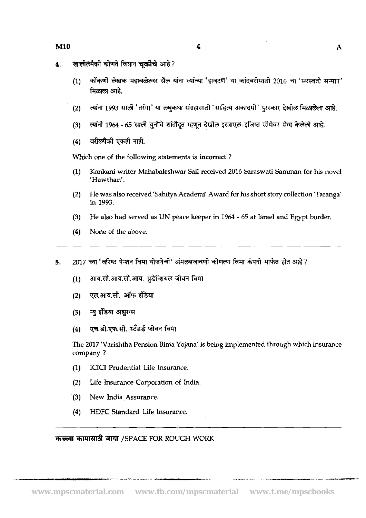- खालीलपैकी कोणते विधान चकीचे आहे?  $\overline{\mathbf{4}}$ 
	- कोंकणी लेखक महाबळेश्वर सैल यांना त्यांच्या 'हावटण' या कांदबरीसाठी 2016 चा 'सरस्वती सन्मान'  $(1)$ मिळाला आहे.
	- त्यांना 1993 साली 'तरंगा' या लघकथा संग्रहासाठी 'साहित्य अकादमी' परस्कार देखील मिळालेला आहे.  $(2)$
	- त्यांनी 1964 65 साली युनोचे शांतीदूत म्हणून देखोल इस्त्राएल-इजिप्त सीमेवर सेवा केलेली आहे.  $(3)$
	- वरीलपैकी एकही नाही.  $(4)$

**Which** one of the following statements is incorrect ?

- **(1)** Konkani writer Mahabaleshwar Sail received **2016** Saraswati Samman for his novel 'Hawthan'.
- **(2)** He was also received'sahitya Academi' Award for his short story collection 'Taranga' in **1993.**
- **(3)** He also had served as UN peace keeper in **1964**  65 at Israel and Egypt border
- **(4)** None of the above.

2017 च्या 'वरिष्ठ पेन्शन विमा योजनेची' अंमलबजावणी कोणत्या विमा कंपनी मार्फत होत आहे?  $5<sub>1</sub>$ 

- आय.सी.आय.सी.आय. प्रुडेन्शियल जीवन विमा  $(1)$
- एल.आय.सी. ऑफ इंडिया  $(2)$
- न्यु इंडिया अशुरन्स  $(3)$
- एच.डी.एफ.सी. स्टॅंडर्ड जीवन विमा  $(4)$

The **2017** 'Varishtha Pension Bima Yojana' is being implemented through which insurance company ?

- **(1)** ICICI Prudential Life Insurance.
- **(2)** Life Insurance Corporation of India.
- **(3)** New India Assurance.
- **(4)** HDFC Standard Life Insurance.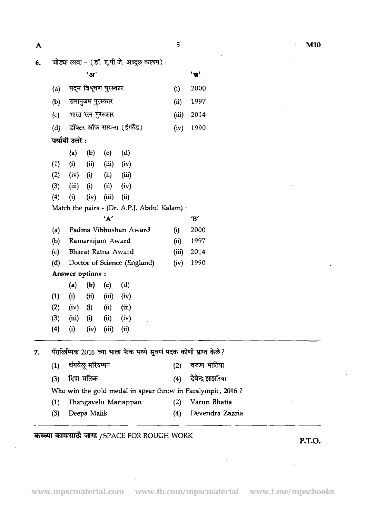$\overline{\mathbf{A}}$ 

**6.** जोड्या लावा - (डॉ. ए.पी.जे. अब्दुल कलाम) : 'अ<sup>'</sup> 'ब' (a) पदम विभूषण पुरस्कार<br>(a) पदम विभूषण पुरस्कार (i) 2000 (a) पद्म विभूषण पुरस्कार (i) 2000<br>(b) रामानुजम पुरस्कार (ii) 1997 (b) रामानुजम पुरस्कार (ii) 1997<br>(c) भारत रत्न पुरस्कार (iii) 2014 (d) ~~W-Rr(33k) (iv) 1990 \*\*:  $(c)$  $(1)$   $(ii)$   $(iii)$   $(iii)$   $(iv)$ (2) (iv) (i) (ii) (iii)  $(3)$   $(iii)$   $(i)$   $(ii)$   $(iv)$ (4) (i) (iv) (iii) (ii) Match the pairs - (Dr. A.P.J. Abdul Kalam) : 'A' **'8'**  (a) Padma Vibhushan Award (i) 2000 @) Ramanujam Award (ii) 1997 (c) Bharat Ratna Award (iii) 2014 (d) Doctor of Science (England) (iv) 1990 Answer options :  $(a)$   $(b)$   $(c)$   $(d)$ (1) (i) (ii) (iii) **(iv) (2)** (iv) (i) (ii) (iii) (3) **(iii)** (i) (ii) (iv)  $(4)$  (i) (iv) (iii) (ii) 7. पॅरालिम्पिक 2016 च्या भाला फेक मध्ये सुवर्ण पदक कोणी प्राप्त केले? **(1)** -- (2) - vrE-4l

| पॅरालिम्पिक 2016 च्या भाला फेक मध्ये सुवर्ण पदक कोणी प्राप्त केले? |                        |  |                       |  |  |  |  |
|--------------------------------------------------------------------|------------------------|--|-----------------------|--|--|--|--|
|                                                                    | $(1)$ थंगवेलू मरियप्पन |  | (2) वरूण भाटिया       |  |  |  |  |
|                                                                    | (3) दिपा मलिक          |  | (4) देवेन्द्र झाझरिया |  |  |  |  |
| Who win the gold medal in spear throw in Paralympic, 2016?         |                        |  |                       |  |  |  |  |

- (1) Thangavelu Mariappan (2) Varun Bhatia
- (3) Deepa Malik (4) Devendra Zazria

## WlT /SPACE FOR ROUGH WORK **P.T.O.**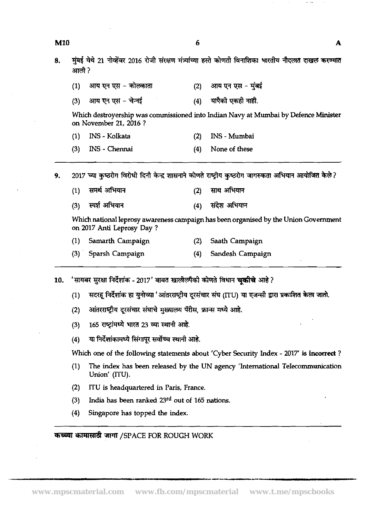|     | Union' (ITU).                                  |
|-----|------------------------------------------------|
| (2) | ITU is headquartered in Paris, France.         |
| (3) | India has been ranked 23rd out of 165 nations. |
| (4) | Singapore has topped the index.                |

- मुंबई येथे 21 नोव्हेंबर 2016 रोजी संरक्षण मंत्र्यांच्या हस्ते कोणती विनाशिका भारतीय नौदलात दाखल करण्यात 8. आली ?
	- $(1)$ आय एन एस – कोल्काता आय एन एस - मुंबई  $(2)$
	- आय एन एस चेन्नई यापैको एकहो नाही.  $(4)$  $(3)$

Which destroyership was commissioned into Indian Navy at Mumbai by Defence Minister on November **21, 2016** ?

- **(1)** INS Kolkata **(2)** INS Mumbai
- **(3)** INS Chennai **(4)** None of these

2017 च्या कुष्ठरोग विरोधी दिनी केन्द्र शासनाने कोणते राष्ट्रीय कुष्ठरोग जागरुकता अभियान आयोजित केले? 9.

- समर्थ अभियान साथ अभियान  $(1)$  $(2)$
- $(3)$ स्पर्श अभियान  $(4)$ संदेश अभियान

Which national leprosy awareness campaign **has** been organised by the Union Government on **2017** Anti Leprosy Day ?

- **(1)** Samarth Campaign **(2)** Saath Campaign
- **(3)** Sparsh Campaign **(4)** Sandesh Campaign

'सायबर सुरक्षा निर्देशांक - 2017' बाबत खालीलपैको कोणते विधान **चकीचे** आहे ? 10.

- सदरहू निर्देशांक हा युनोच्या 'आंतरराष्ट्रीय दूरसंचार संघ (IIU) या एजन्सी द्वारा प्रकाशित केला जातो.  $(1)$
- आंतरराष्ट्रीय दूरसंचार संघाचे मुख्यालय पॅरीस, फ्रान्स मध्ये आहे.  $(2)$
- 165 राष्ट्रांमध्ये भारत 23 व्या स्थानी आहे.  $(3)$
- या निर्देशांकामध्ये सिंगापूर सर्वोच्च स्थानी आहे.  $(4)$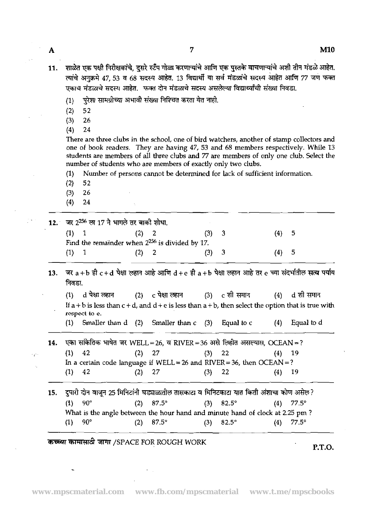$\overline{7}$ 

- शाळेत एक पक्षी निरीक्षकांचे, दुसरे स्टॅंप गोळा करणाऱ्यांचे आणि एक पुस्तके वाचणाऱ्यांचे अशी तीन मंडळे आहेत.  $11.$ त्यांचे अनुक्रमे 47, 53 व 68 सदस्य आहेत. 13 विद्यार्थी या सर्व मंडळांचे सदस्य आहेत आणि 77 जण फक्त एकाच मंडळाचे सदस्य आहेत. फक्त दोन मंडळाचे सदस्य असलेल्या विद्यार्थ्यांची संख्या निवडा.
	- पुरेशा सामग्रीच्या अभावी संख्या निश्चित करता येत नाही.  $(1)$
	- 52  $(2)$
	- $(3)$ 26
	- 24  $(4)$

There are three clubs in the school, one of bird watchers, another of stamp collectors and one of book readers. They are having 47, 53 and 68 members respectively. While 13 students are members of all three clubs and 77 are members of only one club. Select the number of students who are members of exactly only two clubs.

(1) Number of persons cannot be determined for lack of sufficient information.

- (2) 52
- (3) 26
- (4) 24

ЦV.

|         | 12.   जर 2 <sup>256</sup> ला 17 ने भागले तर बाकी शोधा. |         |         |         |  |
|---------|--------------------------------------------------------|---------|---------|---------|--|
|         |                                                        | $(2)$ 2 | $(3)$ 3 | $(4)$ 5 |  |
|         | Find the remainder when $2^{256}$ is divided by 17.    |         |         |         |  |
| $(1)$ 1 |                                                        | (2) 2   | $(3)$ 3 | (4) 5   |  |
|         |                                                        |         |         |         |  |

जर  $a + b$  ही  $c + d$  पेक्षा लहान आहे आणि  $d + e$  ही  $a + b$  पेक्षा लहान आहे तर e च्या संदर्भातील सत्य पर्याय  $13.$ निवडा.

(1) d पेक्षा लहान (2) c पेक्षा लहान (3) c शी समान (4) d शी समान If a + b is less than  $c + d$ , and  $d + e$  is less than a + b, then select the option that is true with d पेक्षा ल<del>हा</del>न c पेक्षा लहान c शी समान d शी समान  $(1)$ **rcspect** to e.

(I) Smaller than d (2) Smaller than c (3) Equal to *c* **(4)** Equal to d

14. एका सांकेतिक भाषेत जर WELL=26, व RIVER=36 असे लिहीत असल्यास, OCEAN=? (1)  $42$  (2)  $27$  (3)  $22$  (4) 19

In a certain code language if  $WELL = 26$  and  $RIVER = 36$ , then  $OCEAN = ?$ (1) 42 (2) 27 (3) 22 (4) 19

दुपारी दोन वाजून 25 मिनिटांनी घड्याळातील तासकाटा व मिनिटकाटा यात किती अंशाचा कोण असेल? 15.  $(1)$  $82.5^\circ$  $90^\circ$  $(2)$  $87.5^\circ$  $(3)$  $(4)$  $77.5^\circ$ What is the angle between the hour hand and minute hand of clock at 2.25 pm ? (1)  $90^{\circ}$  (2)  $87.5^{\circ}$  (3)  $82.5^{\circ}$  (4)  $77.5^{\circ}$ 

**XlWUd** TIW /SPACE FOR ROUGH WORK **P.T.O.**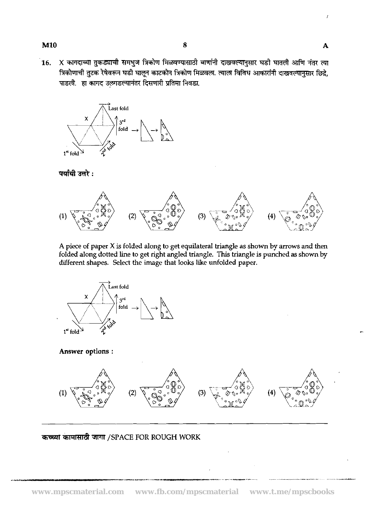X कागदाच्या तुकड्याची समभुज त्रिकोण मिळवण्यासाठी बाणांनी दाखवल्यानुसार घडी घातली आणि नंतर त्या 16. त्रिकोणाची तुटक रेषेवरून घडी घालून काटकोन त्रिकोण मिळवला. त्याला विविध आकारांनी दाखवल्यानसार छिद्रे. पाडली. हा कागद उलगडल्यानंतर दिसणारी प्रतिमा निवडा.



पर्यायी उत्तरे :



A piece of paper X is folded along to get equilateral triangle as shown by arrows and then **folded along dotted line to get right angled triangle. This triangle is punched as shown by different shapes. Select the image that looks like unfolded paper.** 



**Answer options** :

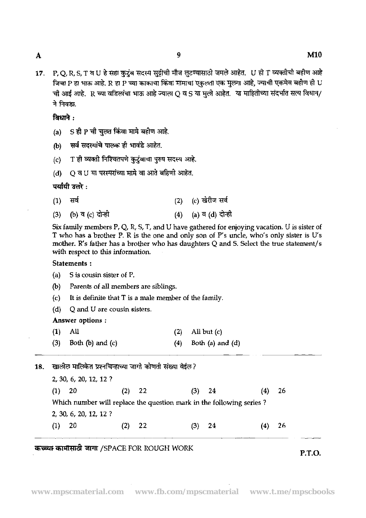$\mathbf{A}$ 

**M10** 

P.O.R.S.T व U हे सहा कुटुंब सदस्य सुद्रीची मौज लूटण्यासाठी जमले आहेत. U ही T व्यक्तीची बहीण आहे  $17.$ जिचा P हा भाऊ आहे. R हा P च्या काकाचा किंवा मामाचा एकुल्ता एक मुलगा आहे, ज्याची एकमेव बहीण ही U ची आई आहे. R च्या वडिलांचा भाऊ आहे ज्याला O व S या मली आहेत. या माहितीच्या संदर्भात सत्य विधान/ ने निवडा.

ਕਿਪਾਰੇ :

- (a) S ही P ची चुलत किंवा मामे बहीण आहे.
- (b) सर्व सदस्यांचे पालक ही भावंडे आहेत.
- T ही व्यक्ती निश्चितपणे कुटुंबाचा पुरुष सदस्य आहे.  $(c)$
- $(d)$   $Q$   $\overline{q}$   $U$   $\overline{q}$   $\overline{q}$   $\overline{q}$   $\overline{q}$   $\overline{q}$   $\overline{q}$   $\overline{q}$   $\overline{q}$   $\overline{q}$   $\overline{q}$   $\overline{q}$   $\overline{q}$   $\overline{q}$   $\overline{q}$   $\overline{q}$   $\overline{q}$   $\overline{q}$   $\overline{q}$   $\overline{q}$   $\overline{q}$   $\overline{q}$   $\overline{q}$

## पर्यायी उत्तरे :

(2) (c) खेरीज सर्व सर्व  $(1)$ (4) (a) व (d) दोन्ही (b) व (c) दोन्ही  $(3)$ 

Six family members P, Q, R, S, T, and U have gathered for enjoying vacation. U is sister of T who has a brother P. R is the one and only son of P's uncle, who's only sister is U's mother. R's father has a brother who has daughters Q and *5.* Select the true statement/s with respect to this information.

### Statements :

| (a) S is cousin sister of $P$ . |  |
|---------------------------------|--|
|                                 |  |

- (b) Parents of all members are siblings.
- (c) It is definite that T is a male member of the family.
- (d) Q and U are cousin sisters.

#### Answer options :

| $(1)$ All |                            | $(2)$ All but $(c)$        |
|-----------|----------------------------|----------------------------|
|           | $(3)$ Both $(b)$ and $(c)$ | $(4)$ Both $(a)$ and $(d)$ |

खालील मालिकेत प्रश्नचिन्हाच्या जागी कोणती संख्या येईल? 18. **2,** 30, **6,** 20, 12, **12** ? **(1) 20** (2) **22 (3)** 24 (4) **26** 

Which number will replace the question mark in the following series ?

**2,** 30, **6, 20, 12, 12** ? (1) **20 (2) 22 (3)** 24 (4) **26** 

## me TJlT /SPACE FOR ROUGH WORK **P.T.O.**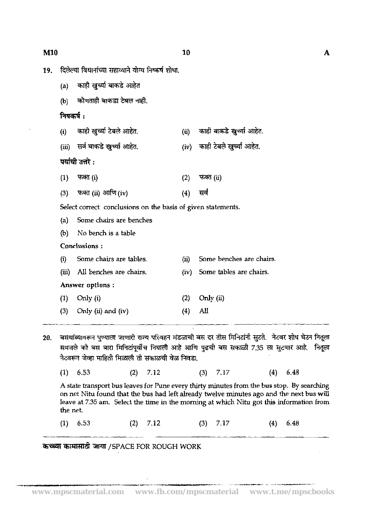19.

|           | दिलेल्या विधानांच्या सहाय्याने योग्य निष्कर्ष शोधा.          |      |                                                                                                  |
|-----------|--------------------------------------------------------------|------|--------------------------------------------------------------------------------------------------|
| (a)       | काही खुर्च्या बाकडे आहेत                                     |      |                                                                                                  |
| (b)       | कोणताही बाकडा टेबल नाही.                                     |      |                                                                                                  |
| निषकर्ष : |                                                              |      |                                                                                                  |
| (i)       | काही खुच्या टेबले आहेत.                                      | (ii) | काही बाकडे खुच्या आहेत.                                                                          |
|           | (iii) सर्व बाकडे खुच्या आहेत.                                | (iv) | काही टेबले खुर्च्या आहेत.                                                                        |
|           | पर्यायी उत्तरे :                                             |      |                                                                                                  |
| (1)       | फक्त (i)                                                     | (2)  | फक्त (ii)                                                                                        |
| (3)       | फक्त (ii) आणि (iv)                                           | (4)  | सर्व                                                                                             |
|           | Select correct conclusions on the basis of given statements. |      |                                                                                                  |
| (a)       | Some chairs are benches                                      |      |                                                                                                  |
| (b)       | No bench is a table                                          |      |                                                                                                  |
|           | Conclusions:                                                 |      |                                                                                                  |
| (i)       | Some chairs are tables.                                      | (ii) | Some benches are chairs.                                                                         |
| (iii)     | All benches are chairs.                                      | (iv) | Some tables are chairs.                                                                          |
|           | Answer options :                                             |      |                                                                                                  |
| (1)       | Only (i)                                                     | (2)  | Only $(ii)$                                                                                      |
| (3)       | Only (ii) and (iv)                                           | (4)  | All                                                                                              |
|           |                                                              |      | ब्रमशांत्यातकत पण्याला जाणारी गुज्य परितहन मंडलाची बम दर तीम मिनिरांनी मरते - तेरवर शोध घेउन निः |

- 20. बसंथाब्यावरून पुण्याला जाणारी राज्य परिवहन मंडळाची बस दर तीस मिनिटानी सुंटते. नेटवर शीर्ष घेउन नितूला समजले को बस बारा मिनिटांपूर्वीच निघाली आहे आणि पुढची बस सकाळी 7.35 ला सुटणार आहे. नितूला नेटवरून जेव्हा माहिती मिळाली तो सकाळची वेळ निवडा.
	- 7.12 7.17 6.48  $(1)$ 6.53  $(2)$  $(3)$  $(4)$

A state transport bus leaves for Pune every thirty minutes from the bus stop. By searching on net Nitu found that the bus had left already twelve minutes ago and the next bus **will**  leave at 7.35 am. Select the time in the morning at which Nitu got this information from the net.

(1)  $6.53$  (2)  $7.12$  (3)  $7.17$  (4)  $6.48$ 

कच्च्या कामासाठी जागा /SPACE FOR ROUGH WORK

--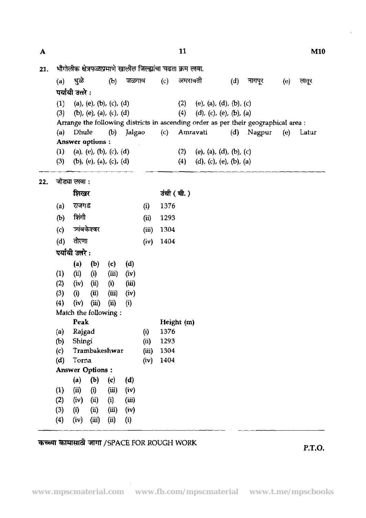11

भौगोलीक क्षेत्रफळाप्रमाणे खालील जिल्ह्यांचा चढता क्रम लावा. 21.  $(a)$ धळे  $(b)$ जळगाव  $(c)$ अमरावती  $(d)$ नागपूर  $(e)$ लतूर पर्यायी उत्तरे $:$ (1) (a), (e), (b), (c), (d) (2) (e), (a), (d), (b), (c)<br>(3) (b), (e), (a), (c), (d) (4) (d), (c), (e), (b), (a) (b), (e), (a), (c), (d) Arrange the following districts in ascending order as per their geographical area : (a) Dhule @) Jalgao (c) Amravati (d) Nagpur (e) Latur Answer options : (1) (a), (e), (b), (c), (d) (2) (e), (a), (d), (b), (c)<br>(3) (b), (e), (a), (c), (d) (4) (d), (c), (e), (b), (a) (b), (e), (a), (c), (d) (c) \*  $22.$ उंची (मी.)  $(a)$  राजगड  $(i)$ 1376  $(b)$  शिंगी  $(ii)$ 1293  $(iii)$ 1304 (d) तोरणा  $(iv)$  1404 **पर्यायी उत्तरे:** (a) (b) (c) (d)<br>(ii) (i) (iii) (iv)  $(1)$   $(ii)$   $(i)$   $(iii)$ (2) (iv) (i) (i) **(iii)**  (3) (i) (ii) **(iii)** (iv)  $(4)$   $(iv)$   $(iii)$   $(ii)$   $(i)$ Match the following : Peak Height (m) (a) Rajgad 1376 **(1)**  (b) Shingi 1293 (ii) (c) Trambakeshwar 1304  $(iii)$ (d) Torna (iv) 1404 Answer Options : **(a) (b) (c) (d)** (1) **(ii)** (i) **(iii)** (iv) (2) (iv) (ii) (i) **(iii)**  (3) (i) (ii) (i) (iv)  $(4)$   $(iv)$   $(iii)$   $(ii)$   $(i)$ 

**TMQld? Wll** /SPACE FOR **ROUGH** WORK **P.T.O.** 

 $\mathbf{A}$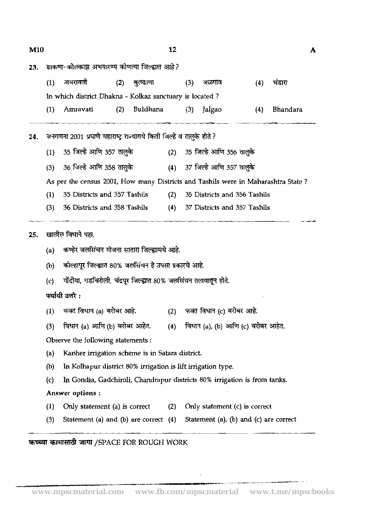**(1)** - (2) **Tw""** (3) - (4) - M10 A 23. *हाकणा-कोल*काझ अभयारण्य कोणत्या जिल्ह्यात आहे? In which district Dhakna - Kolkaz sanctuary is located ? (1) A<mark>mr</mark>avati (2) Buldhana (3) Jalgao (4) Bhandara -- 24. जनगणना 2001 प्रमाणे महाराष्ट्र राज्यामधे किती जिल्हे व तालके होते ? (1) 35 जिल्हे आणि 357 तालुके (2) 35 जिल्हे आणि 356 तालुके (3) 36 जिल्हे आणि 358 तालुके  $(4)$  37 जिल्हे आणि 357 तालुके As per the census 2001, How many Districts and Tashils were in Maharashtra State ? As per the census 2001, How many Districts and Tashils were in Maharashtra State?<br>
(1) 35 Districts and 357 Tashils (2) 35 Districts and 356 Tashils<br>
(3) 36 Districts and 358 Tashils (4) 37 Districts and 357 Tashils  $(1)$  35 Districts and 357 Tashils  $(2)$  35 Districts and 356 Tashils (3) 36 Districts and 358 Tashils (4) 37 Dishicts and 357 Tashils 25. खालील विधाने पहा. (a) कण्हेर जलसिंचन योजना सातारा जिल्ह्यामधे आहे. कोल्हापूर जिल्ह्यात 80% जलसिंचन हे उपसा प्रकारचे आहे.  $(b)$ गोंदीया, गडचिरोली, चंद्रपूर जिल्ह्यात 80% जलसिंचन तलावातून होते.  $(c)$ पर्यायी उत्तरे :<br>(1) फक्त विधान (a) बरोबर आहे. (2) फक्त विधान (c) बरोबर आहे.<br>(3) विधान (a) आणि (b) बरोबर आहेत. (4) विधान (a), (b) आणि (c) बरोबर आहेत.<br>Observe the following statements . पर्यायी उत्तरे :<br>(1) फक्त विधान (a) बरोबर आहे. (2) फक्त विधान (c) बरोबर आहे.<br>' Observe the following statements : (a) Kanher irrigation scheme is in Satara district. **(b)** In Kolhapur district 80% irrigation is lift irrigation type. (c) In Gondia, Gadchiroli, Chandrapur districts 80% irrigation is from tanks. Answer options : Answer options:<br>
(1) Only statement (a) is correct (2) Only statement<br>
(3) Statement (a) and (b) are correct (4) Statement (1) Only statement (a) is correct (2) Only statement (c) is correct (3) Statement (a) and (b) are correct  $(4)$  Statement (a), (b) and (c) are correct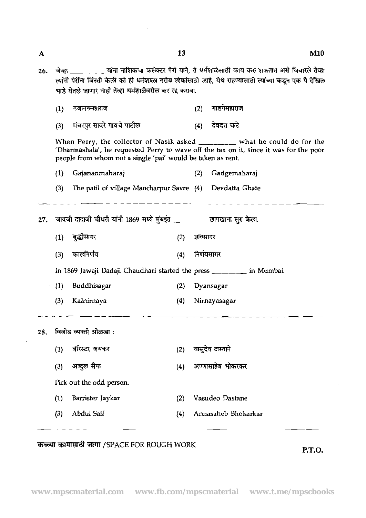$\mathbf{A}$ 

13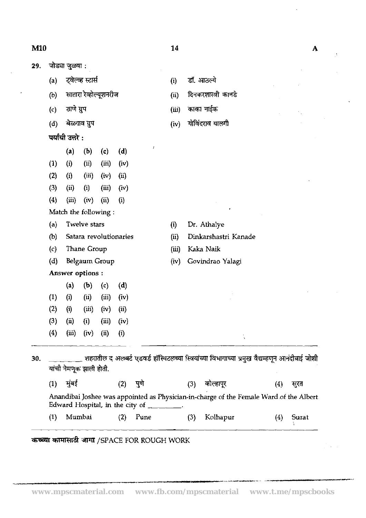| 29. |                                            | जोड्या जुळवा :          |                   |                        |      |                                                          |       |             |                                                                                                |     |              |
|-----|--------------------------------------------|-------------------------|-------------------|------------------------|------|----------------------------------------------------------|-------|-------------|------------------------------------------------------------------------------------------------|-----|--------------|
|     | (a)                                        |                         | ट्वेल्व्ह स्टार्स |                        |      |                                                          | (i)   |             | डॉ. आठल्ये                                                                                     |     |              |
|     | (b)                                        |                         |                   | सातारा रेव्होल्यूशनरीज |      |                                                          | (ii)  |             | दिनकरशास्त्री कानडे                                                                            |     |              |
|     | (c)                                        | ठाणे ग्रुप              |                   |                        |      |                                                          | (iii) |             | काका नाईक                                                                                      |     |              |
|     | (d)                                        |                         | बेळगाव ग्रुप      |                        |      |                                                          | (iv)  |             | गोविंदराव यालगी                                                                                |     |              |
|     |                                            | पर्यायी उत्तरे :        |                   |                        |      |                                                          |       |             |                                                                                                |     |              |
|     |                                            | (a)                     | (b)               | (c)                    | (d)  | J                                                        |       |             |                                                                                                |     |              |
|     | (1)                                        | (i)                     | (ii)              | (iii)                  | (iv) |                                                          |       |             |                                                                                                |     |              |
|     | (2)                                        | (i)                     | (iii)             | (iv)                   | (ii) |                                                          |       |             |                                                                                                |     |              |
|     | (3)                                        | (ii)                    | (i)               | (iii)                  | (iv) |                                                          |       |             |                                                                                                |     |              |
|     | (4)                                        | (iii)                   | (iv)              | (ii)                   | (i)  |                                                          |       |             |                                                                                                |     |              |
|     |                                            | Match the following:    |                   |                        |      |                                                          |       |             |                                                                                                |     |              |
|     | (a)                                        | <b>Twelve stars</b>     |                   |                        |      | (i)                                                      |       | Dr. Athalye |                                                                                                |     |              |
|     | (b)                                        |                         |                   | Satara revolutionaries |      |                                                          | (ii)  |             | Dinkarshastri Kanade                                                                           |     |              |
|     | Thane Group<br>(c)<br>(d)<br>Belgaum Group |                         |                   |                        |      |                                                          | (iii) |             | Kaka Naik                                                                                      |     |              |
|     |                                            |                         |                   |                        |      |                                                          | (iv)  |             | Govindrao Yalagi                                                                               |     |              |
|     | Answer options:                            |                         |                   |                        |      |                                                          |       |             |                                                                                                |     |              |
|     |                                            | (a)                     | (b)               | (c)                    | (d)  |                                                          |       |             |                                                                                                |     |              |
|     | (1)                                        | (i)                     | (ii)              | (iii)                  | (iv) |                                                          |       |             |                                                                                                |     |              |
|     | (2)                                        | (i)                     | (iii)             | (iv)                   | (i)  |                                                          |       |             |                                                                                                |     |              |
|     | (3)                                        | (ii)                    | (i)               | (iii)                  | (iv) |                                                          |       |             |                                                                                                |     |              |
|     | (4)                                        | (iii)                   | (iv)              | (ii)                   | (i)  |                                                          |       |             |                                                                                                |     |              |
| 30. |                                            |                         |                   |                        |      |                                                          |       |             | शहरातील द अलबर्ट एडवर्ड हॉस्पिटलच्या स्त्रियांच्या विभागाच्या प्रमुख वैद्यम्हणून आनंदीबाई जोशी |     |              |
|     |                                            | यांची नेमणूक झाली होती. |                   |                        |      |                                                          |       |             |                                                                                                |     |              |
|     | (1)                                        | मुंबई                   |                   |                        | (2)  | पुणे                                                     |       | (3)         | कोल्हापूर                                                                                      | (4) | सुरत         |
|     |                                            |                         |                   |                        |      | Edward Hospital, in the city of $\overline{\phantom{a}}$ |       |             | Anandibai Joshee was appointed as Physician-in-charge of the Female Ward of the Albert         |     |              |
|     | $\left(1\right)$                           | Mumbai                  |                   |                        | (2)  | Pune                                                     |       | (3)         | Kolhapur                                                                                       | (4) | <b>Surat</b> |

 $14$ 

 $\mathbf{A}$ 

Â

 $\mathcal{A}^{\mathcal{A}}$ 

## कच्च्या कामासाठी जागा /SPACE FOR ROUGH WORK

 $M10$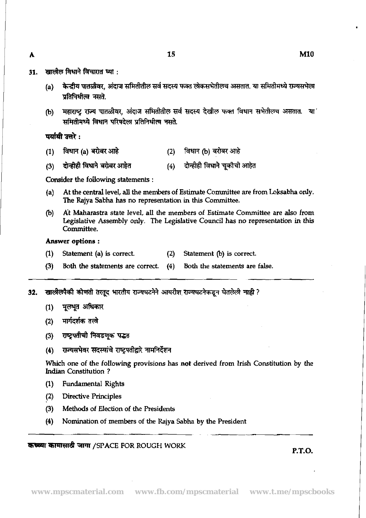15

- 31. खालील विधाने विचारात घ्या :
	- (a) केन्द्रीय पातळीवर, अंदाज समितीतील सर्व सदस्य फक्त लोकसभेतीलच असतात. या समितीमध्ये राज्यसभेला **प्रतिनिधीत्व नसते.**
	- महाराष्ट्र राज्य पातळीवर, अंदाज समितीतील सर्व सदस्य देखील फक्त विधान सभेतीलच असतात. या (b) समितीमध्ये विधान परिषदेला प्रतिनिधीत्व नसते.

## पर्यायी उत्तरे :

- विधान (a) बरोबर आहे (2) विधान (b) बरोबर आहे  $(1)$
- दोन्हीही विधाने बरोबर आहेत दोन्हीही विधाने चुकीची आहेत  $(4)$  $(3)$

Consider the following statements :

- (a) At the central level, all the members of Estimate Committee are from Loksabha only. The Rajya Sabha has no representation in this Committee.
- @) At Maharastra state level, all the members of Estimate Committee are also from Legislative Assembly only. The Legislative Council has no representation in this Committee.

### Answer options :

- (1) Statement (a) is correct. (2) Statement (b) is correct.
- (3) Both the statements are correct. (4) Both the statements are false.
- 32. खालीलपैकी कोणती तरतूद भारतीय राज्यघटनेने आयरीश राज्यघटनेकडून घेतलेली <mark>नाही</mark> ? (1) **rn** - **(3)** \* -=v =
	-
	-
	- (3) Both the statemer<br>**(3) Both the statemer<br>खालीलपैकी कोणती तरतूद भ<br>(1) मूलभूत अधिकार<br>(2) मार्गदर्शक तत्त्वे<br>(3) राष्ट्रपतीची निवडणूक**
	- (2) मार्गदर्शक तत्त्वे<br>(3) राष्ट्रपतीची निवडणूक पद्धत<br>(4) राज्यसभेवर सदस्यांचे राष्ट्रपतीद्वारे नामनिर्देशन

**Which** one of the following provisions has not derived from Irish Constitution by the Indian Constitution ?

- (1) Fundamental Rights
- (2) Directive Principles
- (3) Methods of Election of the Presidents
- (4) Nomination of members of the Rajya Sabha by the President

## **XFlld** rirmr /SPACE **FOR ROUGH WORK P.T.O.**

A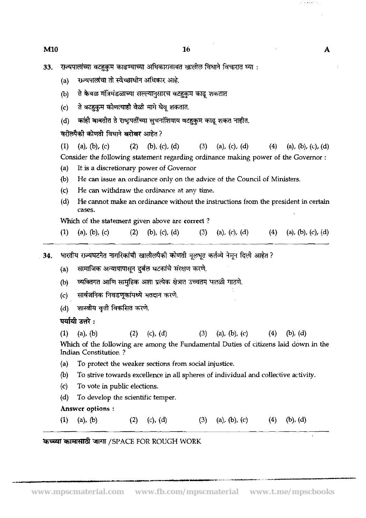33. राज्यपालांच्या वटहकम काढण्याच्या अधिकारावाबत खालील विधाने विचारात घ्या :

- (a) राज्यपालांचा तो स्वेच्छाधीन अधिकार आहे.
- ते केवळ मंत्रिमंडळाच्या सल्ल्यानुसारच वटहुकुम काढू शकतात  $(b)$
- ते बटहकुम कोणत्याही वेळी मागे घेवू शकतात.  $(c)$
- कांही बाबतीत ते राष्ट्रपतींच्या सुचनांशिवाय वटहुकुम काढू शकत नाहीत.  $(d)$

वरील्पैकी कोणती विधाने बरोबर आहेत ?

(1) (a), (b), (c) (2) (b), (c), (d) (3) (a), (c), (d) (4) (a), (b), (c), (d) Consider the following statement regarding ordinance making power of the Governor :

- (a) It is a discretionary power of Governor
- (b) He can issue an ordinance only on the advice of the Council of Ministers.
- (c) He can withdraw the ordinance at any time.
- (d) He cannot make an ordinance without the instructions from the president in certain cases.

Which of the statement given above are **correct** ?

- (1) (a), (b), (c) (2) (b), (c), (d) (3) (a), (c), (d) (4)  $(a)$ , (b), (c), (d)
- भारतीय राज्यघटनेत नागरिकांची खालीलपैको कोणती मूलभूत कर्तव्ये नेमून दिली आहेत ? 34.

सामाजिक अन्यायापासून दुर्बल घटकांचे संरक्षण करणे.  $(a)$ 

- व्यक्तिगत आणि सामुहिक अशा प्रत्येक क्षेत्रात उच्चतम पातळी गाठणे.  $(b)$
- (c) सार्वजनिक निवडणूकांमध्ये मतदान करणे.<br>(d) शास्त्रीय वृत्ती विकसित करणे.<br>**पर्यायी उत्तरे :**<br>(1) (a), (b) (2) (c), (d)
- 

(1) (a), (b) (2) (c), (d) (3) (a), (b), (c) (4) (b), (d) **Which** of the following are among the Fundamental Duties of citizens laid down in the Indian Constitution ?

- (a) To protect the weaker sections from social injustice.
- @) To strive towards excellence in all spheres of individual and collective activity.
- (c) To vote in public elections.
- (d) To develop the scientific temper.

## Answer **options** :

(1) (a), (b) (2) (c), (d) (3) (a), (b), (c) (4) (b), (d)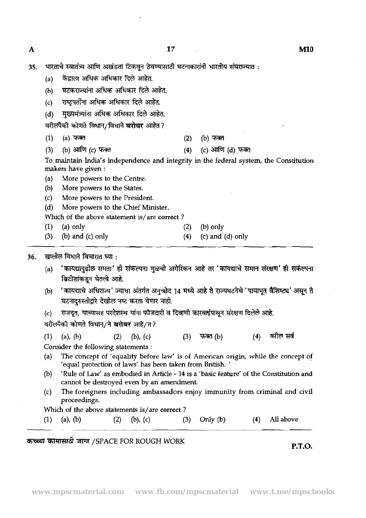$\mathbf{A}$ 

- 35. भारताचे स्वातंत्र्य आणि अखंडता टिकवून ठेवण्यासाठी घटनाकारांनी भारतीय संघराज्यात :
	- (a) केंद्राला अधिक अधिकार दिले आहेत.
	- (b) वटकराज्यांना अधिक अधिकार दिले आहेत.
	- (c) राष्ट्रपतींना अधिक अधिकार दिले आहेत.
	- (d) मुख्यमंत्र्यांना अधिक अधिकार दिले आहेत. (c) स्ट्रियामां मार्ग मार्ग मार्ग में स्ट्रियामां<br>(d) मुख्यमंत्र्यांना अधिक अधिकार दिले आहेत.<br>वरीलपैकी कोणते विधान/विधाने **बरोबर** आहेत ?<br>(1) (a) फबत (2) (b) फबत<br>(3) (b) आणि (c) फब्त

वरीलपैकी कोणते विधान/विधाने <mark>द</mark>

(2) (3) (2) (2) (2) (5) फबत (3) (2) (6) फबत (3) (5) आणि (6) फबत (3) (6) आणि (6) फबत (3) (6) आणि (6) फबत (3) (6) आणि (6) फबत (3) (6) आणि (6) फबत (3) (6) आणि (6) फबत (4) (6) आणि (6) फबत (3) (6) आणि (6) फबत (4) (6) आणि (6) फ makers have given :

- (a) More powers to the Centre.
- (b) More powers to the States.
- (c) More powers to the President.
- (d) More powers to the Chief Minister.

Which of the above statement is/are correct ?

- (1) (a) only (2) (b) only
- (3) (b) and (c) only  $(4)$  (c) and (d) only
- खालील विधाने विचारात घ्या : 36.
	- (a) <sup>'</sup> कायद्यापुढील समता' ही संकल्पना मुळची अमेरिकन आहे तर 'कायद्याचे समान संरक्षण' ही सकंल्पना *ब्रिटीशांकडून घेतली आहे.*
	- 'कायद्याचे अधिराज्य' ज्याचा अंतर्गत अनुच्छेद 14 मध्ये आहे ते राज्यघटनेचे 'पायाभूत वैशिष्ट्य' असून ते  $(b)$ घटनादुरुस्तीद्वारे देखील नष्ट करता येणार नाही.
	- राजदूत, याच्यासह परदेशस्थ यांना फौजदारी व दिवाणी कारवाईपासून संरक्षण दिलेले आहे.  $(c)$

वरीलपैकी कोणते विधान/ने बरोबर आहे/त?

वरील सर्व  $(a)$ ,  $(b)$  $(2)$  $(3)$  $(4)$  $(1)$ (b),  $(c)$ फक्त (b) Consider the following statements :

- 
- (a) The concept of 'equality before law' is of American origin, while the concept of **'equal** protection of laws' has been taken from British. '
- @) 'Rule of **Law'** as embodied in Article 14 is a 'basic feature' of the Constitution and cannot be destroyed even by an amendment.
- (c) The foreigners including ambassadors enjoy immunity from criminal and civil proceedings.

Which of the above statements is/are correct ?

| $(1)$ (a), (b)<br>$(2)$ (b), (c) | $(3)$ Only $(b)$ |  | $(4)$ All above |
|----------------------------------|------------------|--|-----------------|
|----------------------------------|------------------|--|-----------------|

## hrasl TiW!T& TV /SPACE FOR ROUGH WORK **P.T.O.**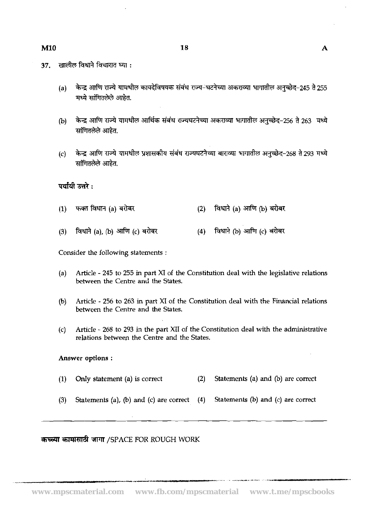- $37.$ खालील विधाने विचारात घ्या :
	- (a) केन्द्र आणि राज्ये यामधील कायदेविषयक संबंध राज्य-घटनेच्या अकराव्या भागातील अनुच्छेद-245 ते 255 मध्ये सांगितलेले आहेत.
	- केन्द्र आणि राज्ये यामधील आर्थिक संबंध राज्यघटनेच्या अकराव्या भागातील अनुच्छेद-256 ते 263 मध्ये (b) सांगितलेले आहेत.
	- केन्द्र आणि राज्ये यामधील प्रशासकीय संबंध राज्यघटनेच्या बाराव्या भागातील अनुच्छेद-268 ते 293 मध्ये  $(c)$ सांगितलेले आहेत.

|     | पर्यायी उत्तरे :     |     |                          |
|-----|----------------------|-----|--------------------------|
| (1) | फक्त विधान (a) बरोबर | (2) | विधाने (a) आणि (b) बरोबर |

विधाने (a), (b) आणि (c) बरोबर (4) विधाने (b) आणि (c) बरोबर  $(3)$ 

Consider the following statements :

- (a) Article 245 to 255 in part XI of the Constitution deal with the legislative relations between the Centre and the States.
- @) Article 256 to 263 in part XI of the Constitution deal with the Financial relations between the Centre and **the** States.
- (c) Article 268 to 293 in the part XI1 of the Constitution deal with the administrative relations between the Centre and the States.

#### Answer options :

- **(1) Only** statement (a) is correct **(2)** Statements (a) and @) are correct
- (3) Statements (a), @) and (c) are correct (4) Statements @) and (c) are correct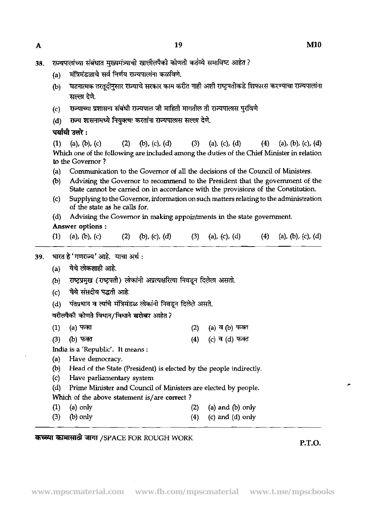- **38.**  (a) राज्यपालांच्या संबंधात मुख्यमंत्र्याची खालीलपैकी कोणती कर्तव्ये समाविष्ट आहेत ?<br>(a) मंत्रिमंडळाचे सर्व निर्णय राज्यपालांना कळविणे. (b) घटनात्मक तरतूदीनुसार राज्याचे सरकार काम करीत नाही अशी राष्ट्रपतीकडे शिफारस करण्याचा राज्यपालांना **सल्ला देणे.** (c) राज्याच्या प्रशासना संबंधी राज्यपाल जी माहिती मागतील ती राज्यपालास पुरविणे (d) राज्य शासनामध्ये नियुक्त्या करतांना राज्यपालास सल्ला देणे. पर्यायी उत्तरे $\cdot$ (1) (a), (b), (c) (2) (b), (c), (d) (3) (a), (c), (d) (4) (a), (b), (c), (d) **Which** one of the following are included among the duties of the Chief Minister in relation to the Governor ? (a) Communication to the Governor of all the decisions of the Council of Ministers.<br>(b) Advising the Governor to recommend to the President that the government of Advising the Governor to recommend to the President that the government of the State cannot be carried on in accordance with the provisions of the Constitution. (c) Supplying to the Governor, information on such matters relating to the administration of the state as he calls for. (d) Advising the Governor in making appointments in the state government. Answer options : (1) (a), (b), (c) (2) (b), (c), (d) (3) (a), (c), (d) (4) (a), (b), (c), (d) 39. भारत हे 'गणराज्य' आहे. याचा अर्थ : (a) येथे लोकशाही आहे. (b) 7FP!3m(d)mmmmmd. (c) **39\*\*** \*. (b) राष्ट्रप्रमुख (राष्ट्रपती) लोकांनी अप्रत्यक्षरित<br>(c) येथे संसदीय पद्धती आहे.<br>(d) पंतप्रधान व त्यांचे मंत्रिमंडळ लोकांनी निवर<br>वरीलपैकी कोणते विधान/विधाने <mark>बरोब</mark>र आहेत*?* 
	- (d) पंतप्रधान व त्यांचे मंत्रिमंडळ लोकांनी निवडून दिलेले असते.

| , ,                                                               |                                                |  |                    |  |  |  |  |  |
|-------------------------------------------------------------------|------------------------------------------------|--|--------------------|--|--|--|--|--|
| (d)    पंतप्रधान व त्यांचे मंत्रिमंडळ लोकांनी निवडून दिलेले असते. |                                                |  |                    |  |  |  |  |  |
|                                                                   | वरीलपैकी कोणते विधान/विधाने <b>बरोबर</b> आहेत? |  |                    |  |  |  |  |  |
|                                                                   | (1) (a) फक्त                                   |  | (2) (a) व (b) फक्त |  |  |  |  |  |
|                                                                   | (3) (b) फक्त                                   |  | (4) (c) व (d) फक्त |  |  |  |  |  |
|                                                                   | India is a 'Republic'. It means :              |  |                    |  |  |  |  |  |

India is a 'Republic'. It means :

- (a) Have democracy.
- (b) Head of the State (President) is elected by the people indirectly.
- (c) Have parliamentary system
- (d) Prime Minister and Council of Ministers are elected by people.
- **Which** of the above statement is/are correct ?
- (1) (a) only **(2)** (a) and @) only
- (3) (b) only **(4)** (c) and (dl only

## कच्च्या कामासाठी जागा /SPACE FOR ROUGH WORK **P.T.O. P.T.O.**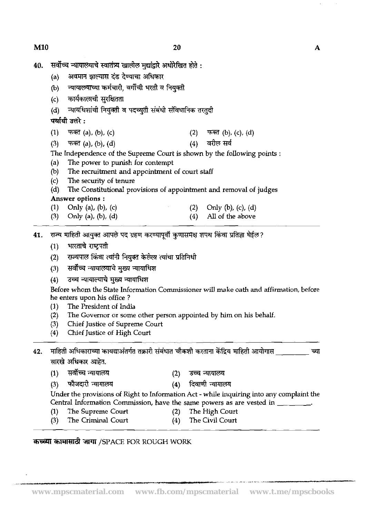- सर्वोच्च न्यायालयाचे स्वातंत्र्य खालील मुद्यांद्वारे अधोरेखित होते :<br>(a) अवमान झाल्यास दंड देण्याचा अधिकार<br>(b) न्यायालयाच्या कर्मचारी, वर्गीची भरती व नियक्ती 40.
	-
	-
	-
	-

- (c) कानकालावा सुराबतता<br>(d) न्यायधिशांची नियुक्ती व पदच्युती संबंधी संविधानिक तरतुदी<br>**पर्यायी उत्तरे :**<br>(1) फक्त (a), (b), (c) - (2) फक्त (b), (c), (d)<br>(3) फक्त (a), (b), (d) - (d) (d) वरील सर्व
- 

(d) - जनननना मनुक्ता न प्रदनुता समना सायना के तरतुवा<br>**पर्यायी उत्तरे :**<br>(1) - फक्त (a), (b), (c) (2) - फक्त (b), (c), (d)<br>The Independence of the Supreme Court is shown by the following points :

- (a) The power to punish for contempt  $(b)$  The recruitment and appointment
- (b) The recruitment and appointment of court staff  $(c)$  The security of tenure
- The security of tenure
- (d) The Constitutional provisions of appointment and removal of judges Answer **options** :
- (1) Only (a), (b), (c)<br>(3) Only (a), (b), (d) (2) Only (b), (c), (d) (4) All of the above Answer options :<br>(1) - Only (a), (b), (c<br>(3) - Only (a), (b), (d<br>राज्य माहिती आयुक्त आपत्<br>(1) - भारताचे राष्ट्रपती<br>(2) - राज्यपाल किंवा त्यां
- Only (a), (b),  $(d)$ All of the above
- **41. राज्य माहिती आयुक्त आपले पद ग्रहण करण्यापूर्वी कुणासमक्ष शपथ किंवा प्रतिज्ञा घेईल?** 
	-
	- (2) राज्यपाल किंवा त्यांनी नियुक्त केलेला त्यांचा प्रतिनिधी
	- (3) सर्वोच्च न्यायालयाचे मुख्य न्यायाधिश
	- <u>(4) उच्च न्यायाल्याचे मुख्य न्यायाधिश</u>

Before whom the State Information Commissioner will make oath and affirmation, before he enters upon **his** office ?

- (1) The President of India
- **(2)** The Governor or some other person appointed by him on his behalf.
- (3) Chief Justice of Supreme Court<br>(4) Chief Justice of High Court
- **(4)** Chief Justice of High Court
- - (4) Chief Justice of<br>माहिती अधिकाराच्या कायः<br>सारखे अधिकार आहेत.<br>(1) सर्वोच्च न्यायालय<br>(3) फौजदारी न्यायालय<br>Under the provisions 42.
	- $(2)$
	- **(4)**  दिवाणी न्यायालय

Under the provisions of Right to Information Act - while inquiring into any complaint the Central Information Commission, have the same powers as are vested in \_\_\_\_\_\_\_.

- (1) The Supreme Court **(2)** The High Court
	-
- (3) The Criminal Court (4) The Civil Court
- -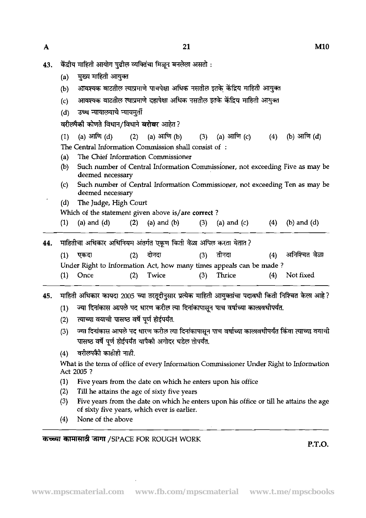- केंद्रीय माहिती आयोग पुढील व्यक्तिंचा मिळून बनलेला असतो : 43.
	- मुख्य माहिती आयुक्त  $(a)$
	- आवश्यक वाटतील त्याप्रमाणे पाचपेक्षा अधिक नसतील इतके केंद्रिय माहिती आयुक्त  $(b)$
	- आवश्यक वाटतील त्याप्रमाणे दहापेक्षा अधिक नसतील इतके केंद्रिय माहिती आयुक्त  $(c)$
	-

| (d) उच्च न्यायालयाचे न्यायमुर्ती                     |  |  |  |  |                                                                 |  |  |  |  |
|------------------------------------------------------|--|--|--|--|-----------------------------------------------------------------|--|--|--|--|
| वरीलपैकी कोणते विधान/विधाने बरोबर आहेत?              |  |  |  |  |                                                                 |  |  |  |  |
|                                                      |  |  |  |  | (1) (a) आणि (d) (2) (a) आणि (b) (3) (a) आणि (c) (4) (b) आणि (d) |  |  |  |  |
| The Central Information Commission shall consist of: |  |  |  |  |                                                                 |  |  |  |  |

- (a) The Chief Information Commissioner
- @) Such number of Central Information commissioner, not exceeding Five as may be deemed necessary
- (c) Such number of Central Information Commissioner, not exceeding Ten as may be deemed necessary
- (d) The Judge, High Court

|                                                                     | deemed necessary                                                 |     |       |     |                     |     |                 |  |  |  |  |  |
|---------------------------------------------------------------------|------------------------------------------------------------------|-----|-------|-----|---------------------|-----|-----------------|--|--|--|--|--|
| (d)                                                                 | The Judge, High Court                                            |     |       |     |                     |     |                 |  |  |  |  |  |
|                                                                     | Which of the statement given above is/are correct?               |     |       |     |                     |     |                 |  |  |  |  |  |
| (1)                                                                 | (a) and (d) $(2)$ (a) and (b)                                    |     |       |     | $(3)$ (a) and $(c)$ | (4) | $(b)$ and $(d)$ |  |  |  |  |  |
|                                                                     |                                                                  |     |       |     |                     |     |                 |  |  |  |  |  |
|                                                                     | माहितीचा अधिकार अधिनियम अंतर्गत एकूण किती वेळा अपिल करता येतात ? |     |       |     |                     |     |                 |  |  |  |  |  |
| (1)                                                                 | एकदा                                                             | (2) | दोनदा | (3) | तीनटा               | (4) | अनिश्चित वेळा   |  |  |  |  |  |
| Under Right to Information Act, how many times appeals can be made? |                                                                  |     |       |     |                     |     |                 |  |  |  |  |  |
|                                                                     |                                                                  |     |       |     |                     |     |                 |  |  |  |  |  |
| (1)                                                                 | Once                                                             | (2) | Twice | (3) | Thrice              | (4) | Not fixed       |  |  |  |  |  |

माहिती अधिकार कायदा 2005 च्या तरतुदीनुसार प्रत्येक माहिती आयुक्तांचा पदावधी किती निश्चित केला आहे? 45.

- ज्या दिनांकास आपले पद धारण करील त्या दिनांकापासून पाच वर्षाच्या कालावधीपर्यंत.  $(1)$
- त्याच्या वयाची पासष्ठ वर्षे पूर्ण होईपर्यंत.  $(2)$
- ज्या दिनांकास आपले पद धारण करील त्या दिनांकापासून पाच वर्षाच्या कालावधीपर्यंत किंवा त्याच्या वयाची  $(3)$ पासष्ठ वर्षे पूर्ण होईपर्यंत यापैको अगोदर घडेल तोपर्यंत.
- वरीलपकैी काहीही नाही.  $(4)$

What is the term of office of every Information Commissioner Under Right to Information Act 2005 ?

- (1) Five years from the date on which he enters upon his office  $(2)$  Till he attains the age of sixty five years
- (2) Till he **attains** the age of sixty five years
- (3) Five years from the date on which he enters upon his office or till he attains the age of sixty five years, which ever is earlier.
- (4) None of the above

*XEE4T* **TFlTUd** 3TT /SPACE FOR ROUGH WORK **P.T.O.** 

 $\mathbf{A}$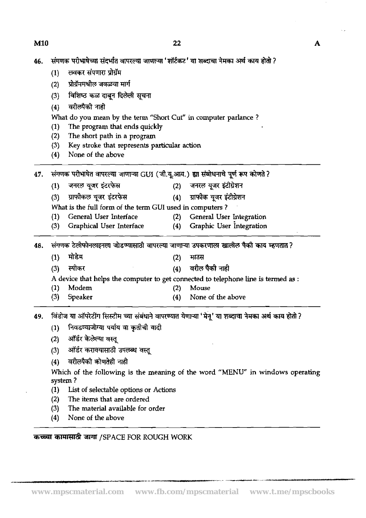| <b>M10</b> | 22                                                                                      | Α |
|------------|-----------------------------------------------------------------------------------------|---|
| 46.        | संगणक परीभाषेच्या संदर्भात वापरल्या जाणाऱ्या 'शॉर्टकट' या शब्दाचा नेमका अर्थ काय होतो ? |   |
|            | लवकर संपणारा प्रोग्रॅम<br>(1)                                                           |   |
|            | प्रोग्रॅममधील जवळचा मार्ग<br>(2)                                                        |   |
|            | विशिष्ठ कळ दाबून दिलेली सूचना<br>(3)                                                    |   |
|            | वरीलपैकी नाही<br>(4)                                                                    |   |
|            | What do you mean by the term "Short Cut" in computer parlance?                          |   |
|            | The program that ends quickly                                                           |   |

- **(1)** The program that ends quickly
- **(2)** The short path in a program
- **(3)** Key stroke that represents particular action
- **(4)** None of the above

**47. ~~mm~u1(3.t.%;m.)wMdHpf-hsM? (1) -v\* (2) -v- (3)** - **T-** - **(4)** \*wm

- 
- 

What is the full form of the term GUI used in computers ?

- (1) General User Interface **(2)** General User Integration
- **(3)** Graphical User Interface **(4)** Graphic User integration **(1)** \* **(2)** -

48. संगणक टेलीफोनलाइनला जोडण्यासाठी वापरल्या जाणाऱ्या उपकरणाला खालील पैकी काय म्हणतात?

- -

**(3)** \* **(4)** \*w\* A device that helps the computer to get connected to telephone line is termed as :

- **(1)** Modem **(2)** Mouse
	-
- **(3)** Speaker **(4)** None of the above

विंडोज या ऑपरेटींग सिस्टीम च्या संबंधाने वापरण्यात येणाऱ्या 'मेनू' या शब्दाचा नेमका अर्थ काय होतो ? 49.

- निवडण्याजोग्या पर्याय वा कृतीची यादी  $(1)$
- 
- (2) ऑर्डर केलेल्या वस्तू<br>(3) ऑर्डर करावयासाठी उपलब्ध वस्तू<br>(4) वरीलपैकी कोणतेही नाही
- 

Which of the following is the meaning of the word "MENU" in windows operating system ?

- **(1)** List of selectable options or Actions
- **(2)** The items that are ordered
- **(3)** The material available for order
- (4) None of the above

कच्च्या कामांसाठी जागा /SPACE FOR ROUGH WORK

-- -.- ". -"- . **----a** - -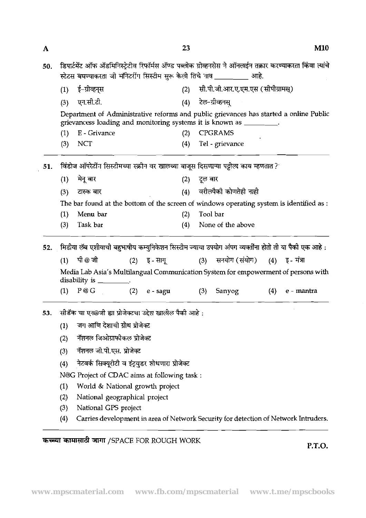| A   |                                                                                                                                                               |                                                                                                                               |  |                  | 23  |         |                                                                                      |     | M10                                                                                                       |  |  |  |  |  |
|-----|---------------------------------------------------------------------------------------------------------------------------------------------------------------|-------------------------------------------------------------------------------------------------------------------------------|--|------------------|-----|---------|--------------------------------------------------------------------------------------|-----|-----------------------------------------------------------------------------------------------------------|--|--|--|--|--|
| 50. |                                                                                                                                                               |                                                                                                                               |  |                  |     |         | स्टेटस बघण्याकरता जी मॉनेटरींग सिस्टीम सुरू केली तिचे नाव __________ आहे.            |     | डिपार्टमेंट ऑफ ॲडमिनिस्ट्रेटीव रिफॉर्मस ॲण्ड पब्लीक ग्रीव्हनसेस ने ऑनलाईन तक्रार करण्याकरता किंवा त्यांचे |  |  |  |  |  |
|     | (1)                                                                                                                                                           | ई-ग्रीव्हन्स                                                                                                                  |  |                  | (2) |         | सी.पी.जी.आर.ए.एम.एस (सीपीग्रामस्)                                                    |     |                                                                                                           |  |  |  |  |  |
|     | (4) टेल-ग्रीव्हनस्<br>एन.सी.टी.<br>(3)                                                                                                                        |                                                                                                                               |  |                  |     |         |                                                                                      |     |                                                                                                           |  |  |  |  |  |
|     | Department of Administrative reforms and public grievances has started a online Public<br>grievancess loading and monitoring systems it is known as ________. |                                                                                                                               |  |                  |     |         |                                                                                      |     |                                                                                                           |  |  |  |  |  |
|     | (1)                                                                                                                                                           | E - Grivance                                                                                                                  |  |                  | (2) |         | <b>CPGRAMS</b>                                                                       |     |                                                                                                           |  |  |  |  |  |
|     | (3)                                                                                                                                                           | <b>NCT</b>                                                                                                                    |  |                  | (4) |         | Tel - grievance                                                                      |     |                                                                                                           |  |  |  |  |  |
| 51. |                                                                                                                                                               |                                                                                                                               |  |                  |     |         | विंडोज ऑपरेटींग सिस्टीमच्या स्क्रोन वर खालच्या बाजूस दिसणाऱ्या पट्टीला काय म्हणतात ? |     |                                                                                                           |  |  |  |  |  |
|     | (1)                                                                                                                                                           | मेनू बार                                                                                                                      |  |                  | (2) | टूल बार |                                                                                      |     |                                                                                                           |  |  |  |  |  |
|     | (3)                                                                                                                                                           | टास्क बार                                                                                                                     |  |                  | (4) |         | वरीलपैकी कोणतेही नाही                                                                |     |                                                                                                           |  |  |  |  |  |
|     |                                                                                                                                                               | The bar found at the bottom of the screen of windows operating system is identified as :                                      |  |                  |     |         |                                                                                      |     |                                                                                                           |  |  |  |  |  |
|     | (1)                                                                                                                                                           | Menu bar                                                                                                                      |  |                  | (2) |         | Tool bar                                                                             |     |                                                                                                           |  |  |  |  |  |
|     | (3)                                                                                                                                                           | Task bar                                                                                                                      |  |                  | (4) |         | None of the above                                                                    |     |                                                                                                           |  |  |  |  |  |
| 52. |                                                                                                                                                               | मिडीया लॅब एशीयाची बहुभाषीय कम्युनिकेशन सिस्टीम ज्याचा उपयोग अंपग व्यक्तींना होतो ती या पैको एक आहे :                         |  |                  |     |         |                                                                                      |     |                                                                                                           |  |  |  |  |  |
|     | (1)                                                                                                                                                           | पी @ जी                                                                                                                       |  | $(2)$ = इ - साग् |     |         | (3) सनयोग (संयोग) (4) इ- मंत्रा                                                      |     |                                                                                                           |  |  |  |  |  |
|     |                                                                                                                                                               | disability is $\frac{1}{\sqrt{1-\frac{1}{2}}\sqrt{1-\frac{1}{2}}\sqrt{1-\frac{1}{2}}\sqrt{1-\frac{1}{2}}\sqrt{1-\frac{1}{2}}$ |  |                  |     |         | Media Lab Asia's Multilangual Communication System for empowerment of persons with   |     |                                                                                                           |  |  |  |  |  |
|     | (1)                                                                                                                                                           | P @ G                                                                                                                         |  | $(2)$ e - sagu   |     | (3)     | Sanyog                                                                               | (4) | e - mantra                                                                                                |  |  |  |  |  |
| 53. |                                                                                                                                                               | सीडॅक चा एन@जी ह्या प्रोजेक्टचा उद्देश खालील पैकी आहे :                                                                       |  |                  |     |         |                                                                                      |     |                                                                                                           |  |  |  |  |  |
|     | (1)                                                                                                                                                           | जग आणि देशाची ग्रोथ प्रोजेक्ट                                                                                                 |  |                  |     |         |                                                                                      |     |                                                                                                           |  |  |  |  |  |
|     | (2)                                                                                                                                                           | नॅशनल जिओग्राफोकल प्रोजेक्ट                                                                                                   |  |                  |     |         |                                                                                      |     |                                                                                                           |  |  |  |  |  |
|     | (3)                                                                                                                                                           | नॅशनल जी.पी.एस. प्रोजेक्ट                                                                                                     |  |                  |     |         |                                                                                      |     |                                                                                                           |  |  |  |  |  |
|     | (4)                                                                                                                                                           | नेटवर्क सिक्यूरीटी व इंट्रयुडर शोधणारा प्रोजेक्ट                                                                              |  |                  |     |         |                                                                                      |     |                                                                                                           |  |  |  |  |  |
|     |                                                                                                                                                               | N@G Project of CDAC aims at following task :                                                                                  |  |                  |     |         |                                                                                      |     |                                                                                                           |  |  |  |  |  |
|     | (1)                                                                                                                                                           | World & National growth project                                                                                               |  |                  |     |         |                                                                                      |     |                                                                                                           |  |  |  |  |  |
|     | (2)                                                                                                                                                           | National geographical project                                                                                                 |  |                  |     |         |                                                                                      |     |                                                                                                           |  |  |  |  |  |
|     | (3)                                                                                                                                                           | National GPS project                                                                                                          |  |                  |     |         |                                                                                      |     |                                                                                                           |  |  |  |  |  |
|     | (4)                                                                                                                                                           |                                                                                                                               |  |                  |     |         | Carries development in area of Network Security for detection of Network Intruders.  |     |                                                                                                           |  |  |  |  |  |
|     |                                                                                                                                                               |                                                                                                                               |  |                  |     |         |                                                                                      |     |                                                                                                           |  |  |  |  |  |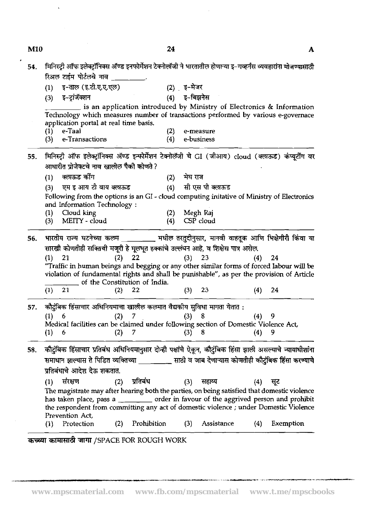| 54. | मिनिस्ट्री ऑफ इलेक्ट्रॉनिक्स ॲण्ड इनफोर्मेशन टेक्नोलॉजी ने भारतातील होणाऱ्या इ–गव्हर्नंस व्यवहारांना मोजण्यासाठी<br>रिअल टाईम पोर्टलचे नाव कर सार |                                                                                                                                                                                                                                                                                                                                         |                 |        |            |          |
|-----|---------------------------------------------------------------------------------------------------------------------------------------------------|-----------------------------------------------------------------------------------------------------------------------------------------------------------------------------------------------------------------------------------------------------------------------------------------------------------------------------------------|-----------------|--------|------------|----------|
|     | इ-ताल (इ.टी.ए.ए.एल)<br>(1)                                                                                                                        |                                                                                                                                                                                                                                                                                                                                         | (2) इ-मेजर      |        |            |          |
|     | इ-ट्रांजॅक्शन<br>(3)                                                                                                                              | ः स्वाद्याः । अत्र । अत्र । अत्र । अत्र । अत्र । अत्र । अत्र । अत्र । अत्र । अत्र । अत्र । अत्र । अत्र । अत्र<br>अत्र । अत्र । अत्र । अत्र । अत्र । अत्र । अत्र । अत्र । अत्र । अत्र । अत्र । अत्र । अत्र । अत्र । अत्र । अत्र                                                                                                          |                 |        |            |          |
|     | application portal at real time basis.<br>e-Taal<br>(1)                                                                                           | is an application introduced by Ministry of Electronics & Information<br>Technology which measures number of transactions performed by various e-governace<br>(2)                                                                                                                                                                       | e-measure       |        |            |          |
|     | e-Transactions<br>(3)                                                                                                                             | (4)                                                                                                                                                                                                                                                                                                                                     | e-business      |        |            |          |
| 55. | आधारीत प्रोजेक्टचे नाव खालील पैको कोणते ?                                                                                                         | मिनिस्ट्री ऑफ इलेक्ट्रॉनिक्स ॲण्ड इन्फोर्मेशन टेक्नोलॅजी चे GI (जीआय) cloud (क्लाऊड) कंप्यूर्टींग वर                                                                                                                                                                                                                                    |                 |        |            |          |
|     | क्लाऊड कोंग<br>(1)                                                                                                                                |                                                                                                                                                                                                                                                                                                                                         | मेघ राज<br>(2)  |        |            |          |
|     | एम इ आय टी वाय क्लऊड<br>(3)                                                                                                                       | (4) सी एस पी क्लाऊड                                                                                                                                                                                                                                                                                                                     |                 |        |            |          |
|     | and Information Technology:                                                                                                                       | Following from the options is an GI - cloud computing initative of Ministry of Electronics                                                                                                                                                                                                                                              |                 |        |            |          |
|     | Cloud king<br>$\left(1\right)$                                                                                                                    | (2)                                                                                                                                                                                                                                                                                                                                     | Megh Raj        |        |            |          |
|     | MEITY - cloud<br>(3)                                                                                                                              | (4)                                                                                                                                                                                                                                                                                                                                     | CSP cloud       |        |            |          |
| 56. |                                                                                                                                                   | भारतीय राज्य घटनेच्या कलम ________ मधील तरतुदीनुसार, मानवी वाहतूक आणि भिक्षेगीरी किंवा या                                                                                                                                                                                                                                               |                 |        |            |          |
|     | (1)<br>-21<br>$(1)$ 21                                                                                                                            | सारखी कोणतीही सक्तिची मजूरी हे मूलभूत हक्कांचे उल्लंघन आहे, व शिक्षेस पात्र असेल.<br>(2)<br>- 22<br>"Traffic in human beings and begging or any other similar forms of forced labour will be<br>violation of fundamental rights and shall be punishable", as per the provision of Article<br>of the Constitution of India.<br>22<br>(2) | (3)<br>$(3)$ 23 | 23     | (4)<br>(4) | 24<br>24 |
|     |                                                                                                                                                   |                                                                                                                                                                                                                                                                                                                                         |                 |        |            |          |
| 57. | (1)<br>-6                                                                                                                                         | कौटुंबिक हिंसाचार अधिनियमाचा खालील कलमात वैद्यकीय सुविधा मागता येतात :<br>(2)                                                                                                                                                                                                                                                           | (3)             | -8     | (4)        | 9        |
|     |                                                                                                                                                   | Medical facilities can be claimed under following section of Domestic Violence Act,                                                                                                                                                                                                                                                     |                 |        |            |          |
|     | (1) 6                                                                                                                                             | $(2)$ 7 $(3)$ 8 $(4)$ 9                                                                                                                                                                                                                                                                                                                 |                 |        |            |          |
| 58. | प्रतिबंधाचे आदेश देऊ शकतात.                                                                                                                       | कौटुंबिक हिंसाचार प्रतिबंध अधिनियमानुसार दोन्ही पक्षांचे ऐकून, कौटुंबिक हिंसा झाली असल्याचे न्यायाधीशांना<br>समाधान झाल्यास ते पिडित व्यक्तिच्या ________ साठी व जाब देणाऱ्यास कोणतीही कौटुंबिक हिंसा करण्याचे                                                                                                                          |                 |        |            |          |
|     | संरक्षण<br>(1)<br>Prevention Act,                                                                                                                 | प्रतिबंध<br>(2)<br>The magistrate may after hearing both the parties, on being satisfied that domestic violence<br>has taken place, pass a ______ order in favour of the aggrived person and prohibit<br>the respondent from committing any act of domestic violence ; under Domestic Violence                                          | (3)             | सहाय्य | (4)        | सूट      |

<u>- Expansion Compared Compared to the second of the second control of</u>

 $\ddot{\phantom{0}}$ 

M10

l,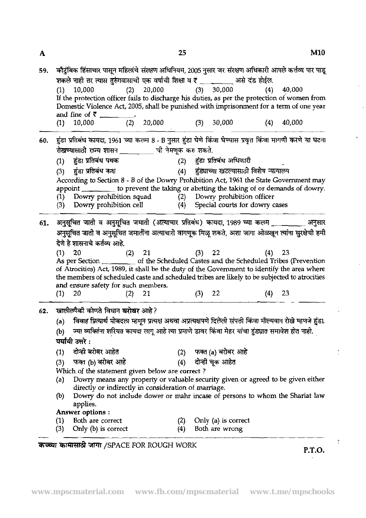|     | 59. कौटुंबिक हिंसाचार पासून महिलांचे संरक्षण अधिनियम, 2005 नुसार जर संरक्षण अधिकारी आपले कर्त्तव्य पार पाडू<br>शकले नाही तर त्यास तुरुंगवासाची एक वर्षाची शिक्षा व र _ _ _ _ _ _ असे दंड होईल. |          |                                                      |          |                                                                                                   |     |                                                                                                               |  |  |  |
|-----|------------------------------------------------------------------------------------------------------------------------------------------------------------------------------------------------|----------|------------------------------------------------------|----------|---------------------------------------------------------------------------------------------------|-----|---------------------------------------------------------------------------------------------------------------|--|--|--|
|     | 10,000                                                                                                                                                                                         |          | $(2)$ 20,000                                         |          | (3) 30,000                                                                                        | (4) | 40,000                                                                                                        |  |  |  |
|     | If the protection officer fails to discharge his duties, as per the protection of women from                                                                                                   |          |                                                      |          |                                                                                                   |     |                                                                                                               |  |  |  |
|     | Domestic Violence Act, 2005, shall be punished with imprisonment for a term of one year                                                                                                        |          |                                                      |          |                                                                                                   |     |                                                                                                               |  |  |  |
|     |                                                                                                                                                                                                |          |                                                      |          |                                                                                                   |     |                                                                                                               |  |  |  |
|     | 10,000                                                                                                                                                                                         |          | $(2)$ 20,000                                         |          | 30,000                                                                                            | (4) | 40,000                                                                                                        |  |  |  |
| 60. | हुंडा प्रतिबंध कायदा, 1961 च्या कलम 8 - B नुसार हुंडा घेणे किंवा घेण्यास प्रवृत्त किंवा मागणी करणे या घटना                                                                                     |          |                                                      |          |                                                                                                   |     |                                                                                                               |  |  |  |
|     | रोखण्यासाठी राज्य शासन ___ __ ची नेमणूक करु शकते.                                                                                                                                              |          |                                                      |          |                                                                                                   |     |                                                                                                               |  |  |  |
|     | हुंडा प्रतिबंध पथक                                                                                                                                                                             |          |                                                      |          | (2) हुंडा प्रतिबंध अधिकारी                                                                        |     |                                                                                                               |  |  |  |
|     | हुंडा प्रतिबंध कक्ष<br>(3)                                                                                                                                                                     |          |                                                      |          | (4) हुंड्याच्या खटल्यासाठी विशेष न्यायालय                                                         |     |                                                                                                               |  |  |  |
|     | According to Section 8 - B of the Dowry Prohibition Act, 1961 the State Government may                                                                                                         |          |                                                      |          |                                                                                                   |     |                                                                                                               |  |  |  |
|     | appoint                                                                                                                                                                                        |          |                                                      |          |                                                                                                   |     | to prevent the taking or abetting the taking of or demands of dowry.                                          |  |  |  |
|     | Dowry prohibition squad                                                                                                                                                                        |          |                                                      |          | (2) Dowry prohibition officer                                                                     |     |                                                                                                               |  |  |  |
|     | Dowry prohibition cell<br>(3)                                                                                                                                                                  |          |                                                      |          | (4) Special courts for dowry cases                                                                |     |                                                                                                               |  |  |  |
|     |                                                                                                                                                                                                |          |                                                      |          |                                                                                                   |     |                                                                                                               |  |  |  |
|     | 61. अनुसूचित जाती व अनुसूचित जमाती (अत्याचार प्रतिबंध) कायदा, 1989 च्या कलम _________ अनुसार                                                                                                   |          |                                                      |          |                                                                                                   |     |                                                                                                               |  |  |  |
|     |                                                                                                                                                                                                |          |                                                      |          |                                                                                                   |     |                                                                                                               |  |  |  |
|     |                                                                                                                                                                                                |          |                                                      |          |                                                                                                   |     | अनुसूचित जाती व अनुसूचित जमार्तीना अत्याचारी वागणूक मिळू शकते, अशा जागा ओळखून त्यांना सुरक्षेची हमी           |  |  |  |
|     | देणे हे शासनाचे कर्तव्य आहे.                                                                                                                                                                   |          |                                                      |          |                                                                                                   |     |                                                                                                               |  |  |  |
|     |                                                                                                                                                                                                |          |                                                      |          |                                                                                                   |     |                                                                                                               |  |  |  |
|     | 20                                                                                                                                                                                             | $(2)$ 21 |                                                      | $(3)$ 22 |                                                                                                   |     | $(4)$ 23                                                                                                      |  |  |  |
|     | As per Section ________ of the Scheduled Castes and the Scheduled Tribes (Prevention<br>of Atrocities) Act, 1989, it shall be the duty of the Government to identify the area where            |          |                                                      |          |                                                                                                   |     |                                                                                                               |  |  |  |
|     | the members of scheduled caste and scheduled tribes are likely to be subjected to atrocities                                                                                                   |          |                                                      |          |                                                                                                   |     |                                                                                                               |  |  |  |
|     | and ensure safety for such members.                                                                                                                                                            |          |                                                      |          |                                                                                                   |     |                                                                                                               |  |  |  |
|     | - 20<br>$\{1\}$                                                                                                                                                                                | $(2)$ 21 |                                                      | $(3)$ 22 |                                                                                                   | (4) | - 23                                                                                                          |  |  |  |
|     |                                                                                                                                                                                                |          |                                                      |          |                                                                                                   |     |                                                                                                               |  |  |  |
|     | 62. खालील्पैकी कोणते विधान <b>बरोबर</b> आहे?                                                                                                                                                   |          |                                                      |          |                                                                                                   |     |                                                                                                               |  |  |  |
|     | (a)                                                                                                                                                                                            |          |                                                      |          |                                                                                                   |     | विवाह प्रित्यार्थ मोबदला म्हणून प्रत्यक्ष अथवा अप्रत्यक्षपणे दिलेली संपत्ती किंवा मौल्यवान रोखे म्हणजे हुंडा. |  |  |  |
|     | (b)                                                                                                                                                                                            |          |                                                      |          | ज्या व्यक्तिंना शरियत कायदा लागू आहे त्या प्रमाणे डावर किंवा मेहर यांचा हुंड्यात समावेश होत नाही. |     |                                                                                                               |  |  |  |
|     | पर्यायी उत्तरे :                                                                                                                                                                               |          |                                                      |          |                                                                                                   |     |                                                                                                               |  |  |  |
|     | दोन्ही बरोबर आहेत<br>$\left(1\right)$                                                                                                                                                          |          |                                                      |          | फक्त (a) बरोबर आहे                                                                                |     |                                                                                                               |  |  |  |
|     |                                                                                                                                                                                                |          |                                                      |          |                                                                                                   |     |                                                                                                               |  |  |  |
|     | फक्त (b) बरोबर आहे<br>(3)                                                                                                                                                                      |          | (4)                                                  |          | दोन्ही चूक आहेत                                                                                   |     |                                                                                                               |  |  |  |
|     | Which of the statement given below are correct?                                                                                                                                                |          |                                                      |          |                                                                                                   |     |                                                                                                               |  |  |  |
|     | (a)                                                                                                                                                                                            |          |                                                      |          |                                                                                                   |     | Dowry means any property or valuable security given or agreed to be given either                              |  |  |  |
|     |                                                                                                                                                                                                |          | directly or indirectly in consideration of marriage. |          |                                                                                                   |     |                                                                                                               |  |  |  |
|     | (b)                                                                                                                                                                                            |          |                                                      |          |                                                                                                   |     | Dowry do not include dower or mahr incase of persons to whom the Shariat law                                  |  |  |  |
|     | applies.<br><b>Answer options:</b>                                                                                                                                                             |          |                                                      |          |                                                                                                   |     |                                                                                                               |  |  |  |
|     | Both are correct                                                                                                                                                                               |          |                                                      |          | Only (a) is correct                                                                               |     |                                                                                                               |  |  |  |

**W4TFd** 3TJR /SPACE FOR ROUGH WORK **P.T.O.**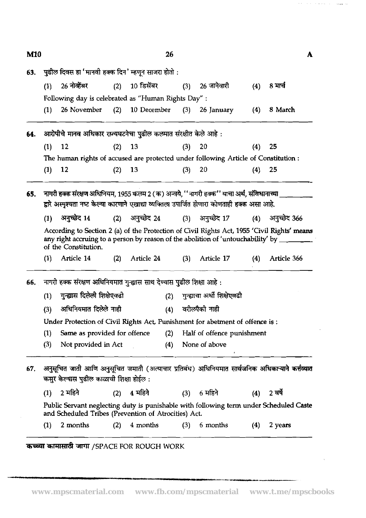$26$ 

 $\mathbf{A}$ 

 $\lambda$  and  $\lambda$  are also associated

 $\tau_{\rm cusp,iso}$  ,  $\tau_{\rm esc}$ 

| 63. |     | पुढील दिवस हा 'मानवी हक्क दिन' म्हणून साजरा होतो :                                                                                                  |     |                 |     |     |                                |     |                  |  |  |  |
|-----|-----|-----------------------------------------------------------------------------------------------------------------------------------------------------|-----|-----------------|-----|-----|--------------------------------|-----|------------------|--|--|--|
|     | (1) | 26 नोव्हेंबर                                                                                                                                        | (2) | 10 डिसेंबर      |     |     | (3) 26 जानेवारी                | (4) | 8 मार्च          |  |  |  |
|     |     | Following day is celebrated as "Human Rights Day" :                                                                                                 |     |                 |     |     |                                |     |                  |  |  |  |
|     | (1) | 26 November                                                                                                                                         | (2) | 10 December     |     |     | $(3)$ 26 January               | (4) | 8 March          |  |  |  |
| 64. |     | आरोपीचे मानव अधिकार राज्यघटनेचा पुढील कलमात संरक्षीत केले आहे :                                                                                     |     |                 |     |     |                                |     |                  |  |  |  |
|     | (1) | 12                                                                                                                                                  | (2) | - 13            |     | (3) | $_{20}$                        | (4) | - 25             |  |  |  |
|     |     | The human rights of accused are protected under following Article of Constitution :                                                                 |     |                 |     |     |                                |     |                  |  |  |  |
|     | (1) | 12                                                                                                                                                  | (2) | -13             |     | (3) | 20                             | (4) | 25               |  |  |  |
| 65. |     | नागरी हक्क संरक्षण अधिनियम, 1955 कलम 2 (क) अन्वये, ''नागरी हक्क'' याचा अर्थ, संविधानाच्या _                                                         |     |                 |     |     |                                |     |                  |  |  |  |
|     |     | द्वारे अस्पृश्यता नष्ट केल्या कारणाने एखाद्या व्यक्तिला उपार्जित होणारा कोणताही हक्क असा आहे.                                                       |     |                 |     |     |                                |     |                  |  |  |  |
|     | (1) | अनुच्छेद 14                                                                                                                                         |     | (2) अनुच्छेद 24 |     |     | (3) अनुच्छेद 17                |     | (4) अनुच्छेद 366 |  |  |  |
|     |     | According to Section 2 (a) of the Protection of Civil Rights Act, 1955 'Civil Rights' means                                                         |     |                 |     |     |                                |     |                  |  |  |  |
|     |     | any right accruing to a person by reason of the abolition of 'untouchability' by $\frac{1}{\sqrt{2}}$<br>of the Constitution.                       |     |                 |     |     |                                |     |                  |  |  |  |
|     | (1) | Article 14                                                                                                                                          | (2) | Article 24      |     | (3) | Article 17                     | (4) | Article 366      |  |  |  |
| 66. |     | नागरी हक्क संरक्षण अधिनियमात गुन्ह्यास साथ देण्यास पुढील शिक्षा आहे :                                                                               |     |                 |     |     |                                |     |                  |  |  |  |
|     | (1) | गुन्ह्यास दिलेली शिक्षेएवढी                                                                                                                         |     |                 | (2) |     | गुन्ह्याचा अर्धी शिक्षेएवढी    |     |                  |  |  |  |
|     | (3) | अधिनियमात दिलेले नाही                                                                                                                               |     |                 |     |     | वरीलपैकी नाही                  |     |                  |  |  |  |
|     |     | Under Protection of Civil Rights Act, Punishment for abetment of offence is:                                                                        |     |                 | (4) |     |                                |     |                  |  |  |  |
|     | (1) | Same as provided for offence                                                                                                                        |     |                 |     |     | (2) Half of offence punishment |     |                  |  |  |  |
|     | (3) | Not provided in Act                                                                                                                                 |     |                 |     |     | (4) None of above              |     |                  |  |  |  |
| 67. |     | अनुसूचित जाती आणि अनुसूचित जमाती (अत्याचार प्रतिबंध) अधिनियमात सार्वजनिक अधिकाऱ्याने कर्त्त <b>व्यात</b><br>कसुर केल्यास पुढील काळाची शिक्षा होईल : |     |                 |     |     |                                |     |                  |  |  |  |
|     | (1) | 2 महिने                                                                                                                                             | (2) | 4 महिने         |     |     | (3) 6 महिने                    |     | $(4)$ 2 वर्षे    |  |  |  |
|     |     | Public Servant neglecting duty is punishable with following term under Scheduled Caste<br>and Scheduled Tribes (Prevention of Atrocities) Act.      |     |                 |     |     |                                |     |                  |  |  |  |

.--.-I°ICI-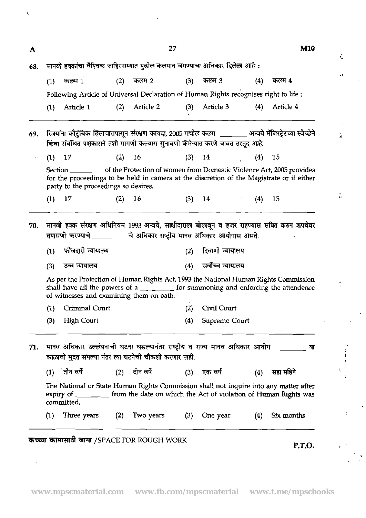| A   |                                                                             | M10                                                                                                                                                     |     |               |            |                                      |     |                                                                                                                                                                                           |  |  |  |  |  |
|-----|-----------------------------------------------------------------------------|---------------------------------------------------------------------------------------------------------------------------------------------------------|-----|---------------|------------|--------------------------------------|-----|-------------------------------------------------------------------------------------------------------------------------------------------------------------------------------------------|--|--|--|--|--|
| 68. | मानवी हक्कांचा वैश्विक जाहिरनाम्यात पुढील कलमात जगण्याचा अधिकार दिलेला आहे: |                                                                                                                                                         |     |               |            |                                      |     |                                                                                                                                                                                           |  |  |  |  |  |
|     | (1)                                                                         | कलम 1                                                                                                                                                   | (2) | कलम 2         | (3)        | कलम 3                                | (4) | कलम 4                                                                                                                                                                                     |  |  |  |  |  |
|     |                                                                             | Following Article of Universal Declaration of Human Rights recognises right to life :                                                                   |     |               |            |                                      |     |                                                                                                                                                                                           |  |  |  |  |  |
|     | (1)                                                                         | Article 1                                                                                                                                               | (2) | Article 2     | (3)        | Article 3                            | (4) | Article 4                                                                                                                                                                                 |  |  |  |  |  |
| 69. |                                                                             | किंवा संबंधित पक्षकाराने तशी मागणी केल्यास सुनावणी कॅमेन्यात करणे बाबत तरतूद आहे.                                                                       |     |               |            |                                      |     | स्त्रियांना कौटुंबिक हिंसाचारापासून संरक्षण कायदा, 2005 मधील कलम ________ अन्वये मॅजिस्ट्रेटच्या स्वेच्छेने                                                                               |  |  |  |  |  |
|     | (1)                                                                         | 17                                                                                                                                                      | (2) | 16            | (3)        | 14                                   | (4) | 15                                                                                                                                                                                        |  |  |  |  |  |
|     |                                                                             | party to the proceedings so desires.                                                                                                                    |     |               |            |                                      |     | Section _______________ of the Protection of women from Domestic Violence Act, 2005 provides<br>for the proceedings to be held in camera at the discretion of the Magistrate or if either |  |  |  |  |  |
|     | (1)                                                                         | 17                                                                                                                                                      | (2) | 16            | (3)        | 14                                   | (4) | 15                                                                                                                                                                                        |  |  |  |  |  |
|     | (1)<br>(3)                                                                  | तपासणी करण्याचे _________ चे अधिकार राष्ट्रीय मानव अधिकार आयोगास असते.<br>फौजदारी न्यायालय<br>उच्च न्यायालय<br>of witnesses and examining them on oath. |     |               | (2)<br>(4) | दिवाणी न्यायालय<br>सर्वोच्च न्यायालय |     | As per the Protection of Human Rights Act, 1993 the National Human Rights Commission<br>shall have all the powers of a ________ for summoning and enforcing the attendence                |  |  |  |  |  |
|     | (1)                                                                         | Criminal Court                                                                                                                                          |     |               | (2)        | Civil Court                          |     |                                                                                                                                                                                           |  |  |  |  |  |
|     |                                                                             | (3) High Court                                                                                                                                          |     |               |            | (4) Supreme Court                    |     |                                                                                                                                                                                           |  |  |  |  |  |
| 71. |                                                                             | मानव अधिकार उल्लंघनाची घटना घडल्यानंतर राष्ट्रीय व राज्य मानव अधिकार आयोग ________<br>काळाची मुदत संपल्या नंतर त्या घटनेची चौकशी करणार नाही.            |     |               |            |                                      |     | या                                                                                                                                                                                        |  |  |  |  |  |
|     |                                                                             | $(1)$ ंतीन वर्षे                                                                                                                                        |     | (2) दोन वर्षे |            | (3) एक वर्ष                          | (4) | सहा महिने                                                                                                                                                                                 |  |  |  |  |  |
|     |                                                                             | committed.                                                                                                                                              |     |               |            |                                      |     | The National or State Human Rights Commission shall not inquire into any matter after<br>expiry of _______ from the date on which the Act of violation of Human Rights was                |  |  |  |  |  |
|     | (1)                                                                         | Three years                                                                                                                                             | (2) | Two years     | (3)        | One year                             | (4) | Six months                                                                                                                                                                                |  |  |  |  |  |

# **W4Td** 3PlT /SPACE FOR ROUGH WORK **P.T.O.**

 $\ddot{\phantom{a}}$ 

 $\ddot{\phantom{0}}$ 

 $\mathcal{E}_\mathrm{a}$ ÷.  $\bar{\mathbf{r}}$ 

 $\partial$ 

 $\hat{\boldsymbol{\theta}}$  $\frac{1}{Q}$ 

 $\mathbf{v}_i$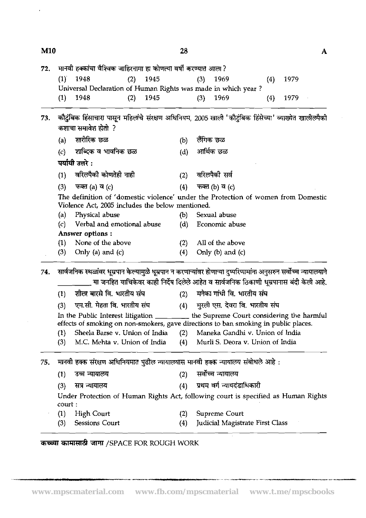28

| $(1)$ 1948<br>1945<br>(2)<br>- 1969<br>(3)<br>1979<br>(4)<br>Universal Declaration of Human Rights was made in which year?<br>1948<br>1945<br>1969<br>1979<br>(2)<br>(3)<br>(1)<br>(4)<br>कौटुंबिक हिंसाचारा पासून महिलांचे संरक्षण अधिनियम, 2005 खाली 'कौटुंबिक हिंसेच्या' व्याख्येत खालीलपैकी<br>कशाचा समावेश होतो ?<br>शारीरिक छळ<br>लैंगिक छळ<br>(a)<br>(b)<br>आर्थिक छळ<br><u>शाब्दिक व भावनिक छळ</u><br>(d)<br>(c)<br>पर्यायी उत्तरे :<br>वरिलपैकी कोणतेही नाही<br>वरिलपैकी सर्व<br>(2)<br>(1)<br>फक्त (a) व $(c)$<br>फक्त (b) व (c)<br>(4)<br>(3)<br>The definition of 'domestic violence' under the Protection of women from Domestic<br>Violence Act, 2005 includes the below mentioned.<br>Physical abuse<br>Sexual abuse<br>(b)<br>(a)<br>Verbal and emotional abuse<br>(d)<br>Economic abuse<br>$\left( c\right)$<br>Answer options:<br>None of the above<br>All of the above<br>(2)<br>(1)<br>(3)<br>Only (a) and $(c)$<br>(4)<br>Only $(b)$ and $(c)$<br>सार्वजनिक स्थळांवर धूम्रपान केल्यामुळे धूम्रपान न करणाऱ्यांवर होणाऱ्या दुष्परिणामांना अनुसरुन सर्वोच्च न्यायालयाने<br>या जनहित याचिकेवर काही निर्देष दिलेले आहेत व सार्वजनिक ठिकाणी धूम्रपानास बंदी केली आहे.<br>शील बारसे वि. भारतीय संघ<br>मनेका गांधी वि. भारतीय संघ<br>(2)<br>(1)<br>एम.सी. मेहता वि. भारतीय संघ<br>(4) मुरली एस. देवरा वि. भारतीय संघ<br>(3)<br>In the Public Interest litigation _________ the Supreme Court considering the harmful<br>effects of smoking on non-smokers, gave directions to ban smoking in public places.<br>Sheela Barse v. Union of India<br>(2) Maneka Gandhi v. Union of India<br>(1)<br>M.C. Mehta v. Union of India<br>Murli S. Deora v. Union of India<br>(3)<br>(4)<br>मानवी हक्क संरक्षण अधिनियमात पुढील न्यायालयास मानवी हक्क न्यायालय संबोधले आहे :<br>सर्वोच्च न्यायालय<br>उच्च न्यायालय<br>(2)<br>(1)<br>प्रथम वर्ग न्यायदंडाधिकारी<br>सत्र न्यायालय<br>(4)<br>(3)<br>Under Protection of Human Rights Act, following court is specified as Human Rights<br>court :<br>Supreme Court<br><b>High Court</b><br>(1)<br>(2)<br><b>Sessions Court</b><br>Judicial Magistrate First Class<br>(3)<br>(4) | 72. |  | मानवी हक्कांचा वैश्विक जाहिरनामा हा कोणत्या वर्षी करण्यात आला? |  |  |  |  |  |  |  |  |  |  |
|-------------------------------------------------------------------------------------------------------------------------------------------------------------------------------------------------------------------------------------------------------------------------------------------------------------------------------------------------------------------------------------------------------------------------------------------------------------------------------------------------------------------------------------------------------------------------------------------------------------------------------------------------------------------------------------------------------------------------------------------------------------------------------------------------------------------------------------------------------------------------------------------------------------------------------------------------------------------------------------------------------------------------------------------------------------------------------------------------------------------------------------------------------------------------------------------------------------------------------------------------------------------------------------------------------------------------------------------------------------------------------------------------------------------------------------------------------------------------------------------------------------------------------------------------------------------------------------------------------------------------------------------------------------------------------------------------------------------------------------------------------------------------------------------------------------------------------------------------------------------------------------------------------------------------------------------------------------------------------------------------------------------------------------------------------------------------------------------------------------------------------|-----|--|----------------------------------------------------------------|--|--|--|--|--|--|--|--|--|--|
|                                                                                                                                                                                                                                                                                                                                                                                                                                                                                                                                                                                                                                                                                                                                                                                                                                                                                                                                                                                                                                                                                                                                                                                                                                                                                                                                                                                                                                                                                                                                                                                                                                                                                                                                                                                                                                                                                                                                                                                                                                                                                                                               |     |  |                                                                |  |  |  |  |  |  |  |  |  |  |
|                                                                                                                                                                                                                                                                                                                                                                                                                                                                                                                                                                                                                                                                                                                                                                                                                                                                                                                                                                                                                                                                                                                                                                                                                                                                                                                                                                                                                                                                                                                                                                                                                                                                                                                                                                                                                                                                                                                                                                                                                                                                                                                               |     |  |                                                                |  |  |  |  |  |  |  |  |  |  |
|                                                                                                                                                                                                                                                                                                                                                                                                                                                                                                                                                                                                                                                                                                                                                                                                                                                                                                                                                                                                                                                                                                                                                                                                                                                                                                                                                                                                                                                                                                                                                                                                                                                                                                                                                                                                                                                                                                                                                                                                                                                                                                                               |     |  |                                                                |  |  |  |  |  |  |  |  |  |  |
|                                                                                                                                                                                                                                                                                                                                                                                                                                                                                                                                                                                                                                                                                                                                                                                                                                                                                                                                                                                                                                                                                                                                                                                                                                                                                                                                                                                                                                                                                                                                                                                                                                                                                                                                                                                                                                                                                                                                                                                                                                                                                                                               | 73. |  |                                                                |  |  |  |  |  |  |  |  |  |  |
|                                                                                                                                                                                                                                                                                                                                                                                                                                                                                                                                                                                                                                                                                                                                                                                                                                                                                                                                                                                                                                                                                                                                                                                                                                                                                                                                                                                                                                                                                                                                                                                                                                                                                                                                                                                                                                                                                                                                                                                                                                                                                                                               |     |  |                                                                |  |  |  |  |  |  |  |  |  |  |
|                                                                                                                                                                                                                                                                                                                                                                                                                                                                                                                                                                                                                                                                                                                                                                                                                                                                                                                                                                                                                                                                                                                                                                                                                                                                                                                                                                                                                                                                                                                                                                                                                                                                                                                                                                                                                                                                                                                                                                                                                                                                                                                               |     |  |                                                                |  |  |  |  |  |  |  |  |  |  |
|                                                                                                                                                                                                                                                                                                                                                                                                                                                                                                                                                                                                                                                                                                                                                                                                                                                                                                                                                                                                                                                                                                                                                                                                                                                                                                                                                                                                                                                                                                                                                                                                                                                                                                                                                                                                                                                                                                                                                                                                                                                                                                                               |     |  |                                                                |  |  |  |  |  |  |  |  |  |  |
|                                                                                                                                                                                                                                                                                                                                                                                                                                                                                                                                                                                                                                                                                                                                                                                                                                                                                                                                                                                                                                                                                                                                                                                                                                                                                                                                                                                                                                                                                                                                                                                                                                                                                                                                                                                                                                                                                                                                                                                                                                                                                                                               |     |  |                                                                |  |  |  |  |  |  |  |  |  |  |
|                                                                                                                                                                                                                                                                                                                                                                                                                                                                                                                                                                                                                                                                                                                                                                                                                                                                                                                                                                                                                                                                                                                                                                                                                                                                                                                                                                                                                                                                                                                                                                                                                                                                                                                                                                                                                                                                                                                                                                                                                                                                                                                               |     |  |                                                                |  |  |  |  |  |  |  |  |  |  |
|                                                                                                                                                                                                                                                                                                                                                                                                                                                                                                                                                                                                                                                                                                                                                                                                                                                                                                                                                                                                                                                                                                                                                                                                                                                                                                                                                                                                                                                                                                                                                                                                                                                                                                                                                                                                                                                                                                                                                                                                                                                                                                                               |     |  |                                                                |  |  |  |  |  |  |  |  |  |  |
|                                                                                                                                                                                                                                                                                                                                                                                                                                                                                                                                                                                                                                                                                                                                                                                                                                                                                                                                                                                                                                                                                                                                                                                                                                                                                                                                                                                                                                                                                                                                                                                                                                                                                                                                                                                                                                                                                                                                                                                                                                                                                                                               |     |  |                                                                |  |  |  |  |  |  |  |  |  |  |
|                                                                                                                                                                                                                                                                                                                                                                                                                                                                                                                                                                                                                                                                                                                                                                                                                                                                                                                                                                                                                                                                                                                                                                                                                                                                                                                                                                                                                                                                                                                                                                                                                                                                                                                                                                                                                                                                                                                                                                                                                                                                                                                               |     |  |                                                                |  |  |  |  |  |  |  |  |  |  |
|                                                                                                                                                                                                                                                                                                                                                                                                                                                                                                                                                                                                                                                                                                                                                                                                                                                                                                                                                                                                                                                                                                                                                                                                                                                                                                                                                                                                                                                                                                                                                                                                                                                                                                                                                                                                                                                                                                                                                                                                                                                                                                                               |     |  |                                                                |  |  |  |  |  |  |  |  |  |  |
|                                                                                                                                                                                                                                                                                                                                                                                                                                                                                                                                                                                                                                                                                                                                                                                                                                                                                                                                                                                                                                                                                                                                                                                                                                                                                                                                                                                                                                                                                                                                                                                                                                                                                                                                                                                                                                                                                                                                                                                                                                                                                                                               |     |  |                                                                |  |  |  |  |  |  |  |  |  |  |
|                                                                                                                                                                                                                                                                                                                                                                                                                                                                                                                                                                                                                                                                                                                                                                                                                                                                                                                                                                                                                                                                                                                                                                                                                                                                                                                                                                                                                                                                                                                                                                                                                                                                                                                                                                                                                                                                                                                                                                                                                                                                                                                               |     |  |                                                                |  |  |  |  |  |  |  |  |  |  |
|                                                                                                                                                                                                                                                                                                                                                                                                                                                                                                                                                                                                                                                                                                                                                                                                                                                                                                                                                                                                                                                                                                                                                                                                                                                                                                                                                                                                                                                                                                                                                                                                                                                                                                                                                                                                                                                                                                                                                                                                                                                                                                                               | 74. |  |                                                                |  |  |  |  |  |  |  |  |  |  |
|                                                                                                                                                                                                                                                                                                                                                                                                                                                                                                                                                                                                                                                                                                                                                                                                                                                                                                                                                                                                                                                                                                                                                                                                                                                                                                                                                                                                                                                                                                                                                                                                                                                                                                                                                                                                                                                                                                                                                                                                                                                                                                                               |     |  |                                                                |  |  |  |  |  |  |  |  |  |  |
|                                                                                                                                                                                                                                                                                                                                                                                                                                                                                                                                                                                                                                                                                                                                                                                                                                                                                                                                                                                                                                                                                                                                                                                                                                                                                                                                                                                                                                                                                                                                                                                                                                                                                                                                                                                                                                                                                                                                                                                                                                                                                                                               |     |  |                                                                |  |  |  |  |  |  |  |  |  |  |
|                                                                                                                                                                                                                                                                                                                                                                                                                                                                                                                                                                                                                                                                                                                                                                                                                                                                                                                                                                                                                                                                                                                                                                                                                                                                                                                                                                                                                                                                                                                                                                                                                                                                                                                                                                                                                                                                                                                                                                                                                                                                                                                               |     |  |                                                                |  |  |  |  |  |  |  |  |  |  |
|                                                                                                                                                                                                                                                                                                                                                                                                                                                                                                                                                                                                                                                                                                                                                                                                                                                                                                                                                                                                                                                                                                                                                                                                                                                                                                                                                                                                                                                                                                                                                                                                                                                                                                                                                                                                                                                                                                                                                                                                                                                                                                                               |     |  |                                                                |  |  |  |  |  |  |  |  |  |  |
|                                                                                                                                                                                                                                                                                                                                                                                                                                                                                                                                                                                                                                                                                                                                                                                                                                                                                                                                                                                                                                                                                                                                                                                                                                                                                                                                                                                                                                                                                                                                                                                                                                                                                                                                                                                                                                                                                                                                                                                                                                                                                                                               |     |  |                                                                |  |  |  |  |  |  |  |  |  |  |
|                                                                                                                                                                                                                                                                                                                                                                                                                                                                                                                                                                                                                                                                                                                                                                                                                                                                                                                                                                                                                                                                                                                                                                                                                                                                                                                                                                                                                                                                                                                                                                                                                                                                                                                                                                                                                                                                                                                                                                                                                                                                                                                               |     |  |                                                                |  |  |  |  |  |  |  |  |  |  |
|                                                                                                                                                                                                                                                                                                                                                                                                                                                                                                                                                                                                                                                                                                                                                                                                                                                                                                                                                                                                                                                                                                                                                                                                                                                                                                                                                                                                                                                                                                                                                                                                                                                                                                                                                                                                                                                                                                                                                                                                                                                                                                                               | 75. |  |                                                                |  |  |  |  |  |  |  |  |  |  |
|                                                                                                                                                                                                                                                                                                                                                                                                                                                                                                                                                                                                                                                                                                                                                                                                                                                                                                                                                                                                                                                                                                                                                                                                                                                                                                                                                                                                                                                                                                                                                                                                                                                                                                                                                                                                                                                                                                                                                                                                                                                                                                                               |     |  |                                                                |  |  |  |  |  |  |  |  |  |  |
|                                                                                                                                                                                                                                                                                                                                                                                                                                                                                                                                                                                                                                                                                                                                                                                                                                                                                                                                                                                                                                                                                                                                                                                                                                                                                                                                                                                                                                                                                                                                                                                                                                                                                                                                                                                                                                                                                                                                                                                                                                                                                                                               |     |  |                                                                |  |  |  |  |  |  |  |  |  |  |
|                                                                                                                                                                                                                                                                                                                                                                                                                                                                                                                                                                                                                                                                                                                                                                                                                                                                                                                                                                                                                                                                                                                                                                                                                                                                                                                                                                                                                                                                                                                                                                                                                                                                                                                                                                                                                                                                                                                                                                                                                                                                                                                               |     |  |                                                                |  |  |  |  |  |  |  |  |  |  |
|                                                                                                                                                                                                                                                                                                                                                                                                                                                                                                                                                                                                                                                                                                                                                                                                                                                                                                                                                                                                                                                                                                                                                                                                                                                                                                                                                                                                                                                                                                                                                                                                                                                                                                                                                                                                                                                                                                                                                                                                                                                                                                                               |     |  |                                                                |  |  |  |  |  |  |  |  |  |  |
|                                                                                                                                                                                                                                                                                                                                                                                                                                                                                                                                                                                                                                                                                                                                                                                                                                                                                                                                                                                                                                                                                                                                                                                                                                                                                                                                                                                                                                                                                                                                                                                                                                                                                                                                                                                                                                                                                                                                                                                                                                                                                                                               |     |  |                                                                |  |  |  |  |  |  |  |  |  |  |

## कच्च्या कामासाठी जागा /SPACE FOR ROUGH WORK

-- -" - - .-.-. --- -. ..--

 $\epsilon$ 

 $\boldsymbol{\rm A}$ 

 $M10$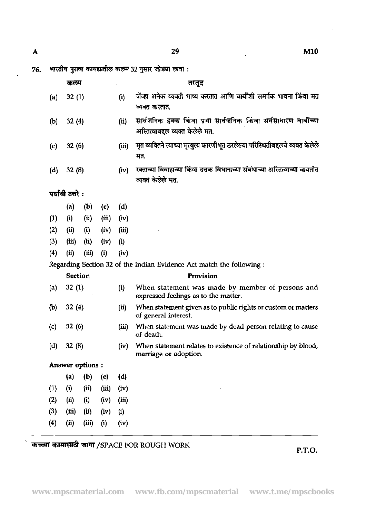$\mathbf{A}$ 

 $\overline{a}$ 

भारतीय पुरावा कायद्यातील कलम 32 नुसार जोड्या लावा : 76.

|            | कलम              |                  |              |             | तरतूद                                                                                               |
|------------|------------------|------------------|--------------|-------------|-----------------------------------------------------------------------------------------------------|
| (a)        | 32(1)            |                  |              | (i)         | जेंव्हा अनेक व्यक्ती भाष्य करतात आणि बार्बीशी समर्पक भावना किंवा मत<br>व्यक्त करतात.                |
| (b)        | 32(4)            |                  |              | (ii)        | सार्वजनिक हक्क किंवा प्रथा सार्वजनिक किंवा सर्वसाधारण बाबींच्या<br>अस्तित्वाबद्दल व्यक्त केलेले मत. |
| (c)        | 32(6)            |                  |              | (iii)       | मृत व्यक्तिने त्याच्या मृत्युला कारणीभूत ठरलेल्या परिस्थितीबद्दलचे व्यक्त केलेले<br>मत.             |
| (d)        | 32(8)            |                  |              | (iv)        | रक्ताच्या विवाहाच्या किंवा दत्तक विधानाच्या संबंधाच्या अस्तित्वाच्या बाबतीत<br>व्यक्त केलेले मत.    |
|            | पर्यायी उत्तरे : |                  |              |             |                                                                                                     |
|            | (a)              | (b)              | (c)          | (d)         |                                                                                                     |
| (1)        | (i)              | (ii)             | (iii)        | (iv)        |                                                                                                     |
| (2)        | (ii)             | (i)              | (iv)         | (iii)       |                                                                                                     |
| (3)        | (iii)            | (ii)             | (iv)         | (i)         |                                                                                                     |
| (4)        | (ii)             | (iii)            | (i)          | (iv)        |                                                                                                     |
|            |                  |                  |              |             |                                                                                                     |
|            |                  |                  |              |             | Regarding Section 32 of the Indian Evidence Act match the following :                               |
|            | <b>Section</b>   |                  |              |             | Provision                                                                                           |
| (a)        | 32(1)            |                  |              | (i)         | When statement was made by member of persons and<br>expressed feelings as to the matter.            |
| (b)        | 32(4)            |                  |              | (ii)        | When statement given as to public rights or custom or matters<br>of general interest.               |
| (c)        | 32(6)            |                  |              | (iii)       | When statement was made by dead person relating to cause<br>of death.                               |
| (d)        | 32(8)            |                  |              | (iv)        | When statement relates to existence of relationship by blood,<br>marriage or adoption.              |
|            |                  | Answer options : |              |             |                                                                                                     |
|            |                  | (a) (b) (c)      |              | (d)         |                                                                                                     |
| (1)        | (i)              | (ii)             | (iii)        | (iv)        |                                                                                                     |
| (2)        | (ii)             | (i)              | $(iv)$ (iii) |             |                                                                                                     |
| (3)<br>(4) | (iii)<br>(ii)    | (ii)<br>(iii)    | (iv)<br>(i)  | (i)<br>(iv) |                                                                                                     |

**haLn WWJdl3VtT** /SPACE FOR ROUGH WORK **P.T.O.**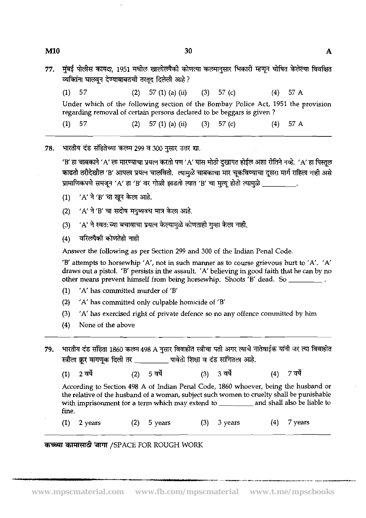- 77. मुंबई पोलीस कायदा, 1951 मधील खालीलपैकी कोणत्या कलमानुसार भिकारी म्हणून घोषित केलेल्या विवक्षित<br>व्यक्तिंना घालवून देण्याबाबतची तरतूद दिलेली आहे ?
	- (1) 57 (2) 57 (1) (a) (ii) (3) 57 (c) (4) 57 A

Under which of the following section of the Bombay Police Act, 1951 the provision regarding removal of certain persons declared to be beggars is given ?

(1)  $57$  (2)  $57$  (1) (a) (ii) (3)  $57$  (c) (4)  $57$  A

भारतीय दंड संहितेच्या कलम 299 व 300 नसार उत्तर द्या. 78.

> 'B' हा चाबकाने 'A' ला मारण्याचा प्रयत्न करतो पण 'A' यास मोठी दखापत होईल अशा रीतिने नव्हे. 'A' हा पिस्तुल काढतो तरीदेखील 'B' आपला प्रयत्न चालवितो. त्यामुळे चाबकाचा मार चूकविण्याचा दूसरा मार्ग राहिला नाही असे प्रामाणिकपणे समजून 'A' हा 'B' वर गोळी झाडतो त्यात 'B' चा मुत्यू होतो त्यामुळे \_\_\_\_\_\_\_\_\_\_.<br>(1) 'A' ने 'B' चा खून केला आहे.

- 
- $'$ A' ने 'B' चा सदोष मनुष्यवध मात्र केला आहे.  $(2)$
- 'A' ने स्वत:च्या बचावाचा प्रयत्न केल्यामुळे कोणताही गुन्हा केला नाही.  $(3)$
- वरिलपैकी कोणतेही नाही  $(4)$

Answer the following as per Section 299 and 300 of the Indian Penal Code

'B' attempts to horsewhip 'A', not in such manner as to course grievous hurt to 'A'. 'A' draws out a pistol. 'B' persists in the assault. 'A' believing in good faith that he can by no other means prevent himself from being horsewhip. Shoots 'B' dead. So

- (1) 'A' has committed murder of 'B'
- (2) 'A' has committed only culpable homicide of 'B'
- (3) 'A' has exercised right of private defence so no any offence committed by him
- (4) None of the above
- भारतीय दंड संहिता 1860 कलम 498 A नुसार विवाहीत स्त्रीचा पती अगर त्याचे नातेवाईक यांनी जर त्या विवाहीत 79. स्त्रीला क्रर वागणुक दिली तर \_\_\_\_\_\_\_\_\_\_\_ पावेतो शिक्षा व दंड सांगितला आहे.

(3) 3 वर्षे 2 वर्षे  $(2)$ 5 वर्षे  $(4)$ 7 वर्षे  $(1)$ 

According to Section 498 A of Indian Penal Code, 1860 whoever, being the husband or the relative of the husband of a woman, subject such women to cruelty shall be punishable with imprisonment for a term which may extend to \_\_\_\_\_\_\_\_ and shall also be liable to fine.

-... --- --- - .-

(1) 2 years (2) 5 years (3) 3 years (4) 7 years

## **कच्च्या कामासाठी जागा /SPACE FOR ROUGH WORK**

 $\mathbf{A}$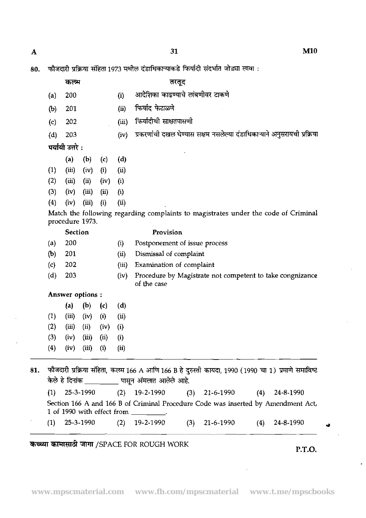$\mathbf{A}$ 

|  |  |  |  |  |  |  | 80. फौजदारी प्रक्रिया संहिता 1973 मधील दंडाधिकाऱ्याकडे फिर्यादी संदर्भात जोड्या लावा : |  |  |  |  |  |  |
|--|--|--|--|--|--|--|----------------------------------------------------------------------------------------|--|--|--|--|--|--|
|--|--|--|--|--|--|--|----------------------------------------------------------------------------------------|--|--|--|--|--|--|

- 
- (a) 200 **(i)** ---&
- 
- फौजदारी प्रक्रिया संहिता 1973 मधील दंडाधिकाऱ्याकडे फिर्यादं<br>| कल्म | तरतूद<br>|a) 200 | (i) आदेशिका काढण्याचे लांब<br>|b) 201 | (ii) फिर्याद फेटाळणे<br>|c) 202 | (iii) फिर्यादीची साक्षतपासणी (c) 202 (iii) फिर्यादीची साक्षतपासणी
- (d) 203 (iv) प्रकरणांची दखल घेण्यास सक्षम नसलेल्या दंडाधिकाऱ्याने अनुसरायची प्रक्रिया<br>**पर्यायी उत्तरे** :

|     | (a)   | (b)   | (c)      | (d)        |  |
|-----|-------|-------|----------|------------|--|
| (1) | (iii) | (iv)  | $\bf(i)$ | $\bf (ii)$ |  |
| (2) | (iii) | (ii)  | (iv)     | (i)        |  |
| (3) | (iv)  | (iii) | (ii)     | (i)        |  |
|     |       |       |          |            |  |

(4) (iv) **(iii)** (i) (ii)

Match the following regarding complaints to magistrates under the code of Criminal procedure 1973.

| <b>Section</b> |
|----------------|
|                |

## Provision

- (a) 200 (i) Postponement of issue process
- (b) 201 (ii) Dismissal of complaint
- (c) 202 (iii) Examination of complaint
- (d) 203 (iv) Procedure by Magistrate not competent to take congnizance of the case

## Answer options :

| (a)   | $\left(\mathbf{b}\right)$ | (c)      | (d)      |  |
|-------|---------------------------|----------|----------|--|
| (iii) | (iv)                      | (i)      | (i)      |  |
| (iii) | (ii)                      | (iv)     | $\bf(i)$ |  |
| (iv)  | (iii)                     | (ii)     | $\bf(i)$ |  |
| (iv)  | (iii)                     | $\bf(i)$ | (ii)     |  |
|       |                           |          |          |  |

81. फौजदारी प्रक्रिया संहिता, कलम 166 A आणि 166 B हे दुरुस्ती कायदा, 1990 (1990 चा 1) प्रमाणे समाविष्ट **केले हे दिनांक सारा बारा भारत आर्लेक आहे.** 

| (1) | 25-3-1990 |  | $(2)$ 19-2-1990 |  | $(3)$ 21-6-1990 | (4) | 24-8-1990 |  |
|-----|-----------|--|-----------------|--|-----------------|-----|-----------|--|
|-----|-----------|--|-----------------|--|-----------------|-----|-----------|--|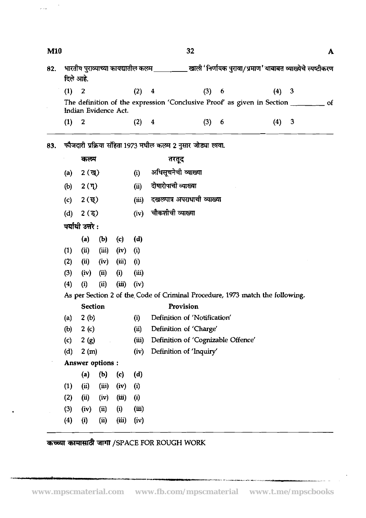| M10 |       |                  |                      |       |       |                            | 32                                                                            |   |  |       |   | A             |  |
|-----|-------|------------------|----------------------|-------|-------|----------------------------|-------------------------------------------------------------------------------|---|--|-------|---|---------------|--|
| 82. |       | दिले आहे.        |                      |       |       |                            |                                                                               |   |  |       |   |               |  |
|     | (1)   | $\overline{2}$   |                      |       | (2)   | 4                          | (3)                                                                           | 6 |  | (4) 3 |   |               |  |
|     |       |                  | Indian Evidence Act. |       |       |                            | The definition of the expression 'Conclusive Proof' as given in Section       |   |  |       |   | <sub>of</sub> |  |
|     | (1) 2 |                  |                      |       | (2) 4 |                            | (3) 6                                                                         |   |  | (4)   | 3 |               |  |
| 83. |       |                  |                      |       |       |                            | फौजदारी प्रक्रिया संहिता 1973 मधील कलम 2 नुसार जोड्या लावा.                   |   |  |       |   |               |  |
|     |       | कल्म             |                      |       |       |                            | तरतूद                                                                         |   |  |       |   |               |  |
|     | (a)   | $2($ ख् $)($     |                      |       | (i)   |                            | अधिसूचनेची व्याख्या                                                           |   |  |       |   |               |  |
|     | (b)   | $2(\mathbf{q})$  |                      |       | (ii)  |                            | दोषारोपाची व्याख्या                                                           |   |  |       |   |               |  |
|     | (c)   | 2 (ন্থ্)         |                      |       | (iii) | दखलपात्र अपराधाची व्याख्या |                                                                               |   |  |       |   |               |  |
|     | (d)   | 2 <sup>(3)</sup> |                      |       | (iv)  | चौकशीची व्याख्या           |                                                                               |   |  |       |   |               |  |
|     |       | पर्यायी उत्तरे : |                      |       |       |                            |                                                                               |   |  |       |   |               |  |
|     |       | (a)              | (b)                  | (c)   | (d)   |                            |                                                                               |   |  |       |   |               |  |
|     | (1)   | (ii)             | (iii)                | (iv)  | (i)   |                            |                                                                               |   |  |       |   |               |  |
|     | (2)   | (ii)             | (iv)                 | (iii) | (i)   |                            |                                                                               |   |  |       |   |               |  |
|     | (3)   | (iv)             | (ii)                 | (i)   | (iii) |                            |                                                                               |   |  |       |   |               |  |
|     | (4)   | (i)              | (ii)                 | (iii) | (iv)  |                            |                                                                               |   |  |       |   |               |  |
|     |       |                  |                      |       |       |                            | As per Section 2 of the Code of Criminal Procedure, 1973 match the following. |   |  |       |   |               |  |
|     |       | <b>Section</b>   |                      |       |       |                            | Provision                                                                     |   |  |       |   |               |  |
|     | (a)   | 2(b)             |                      |       | (i)   |                            | Definition of 'Notification'                                                  |   |  |       |   |               |  |
|     | (b)   | 2(c)             |                      |       | (ii)  |                            | Definition of 'Charge'                                                        |   |  |       |   |               |  |
|     | (c)   | 2(g)             |                      |       | (iii) |                            | Definition of 'Cognizable Offence'                                            |   |  |       |   |               |  |
|     | (d)   | 2(m)             |                      |       | (iv)  |                            | Definition of 'Inquiry'                                                       |   |  |       |   |               |  |
|     |       |                  | Answer options :     |       |       |                            |                                                                               |   |  |       |   |               |  |
|     |       | (a)              | (b)                  | (c)   | (d)   |                            |                                                                               |   |  |       |   |               |  |
|     | (1)   | (ii)             | (iii)                | (iv)  | (i)   |                            |                                                                               |   |  |       |   |               |  |
|     | (2)   | (ii)             | (iv)                 | (iii) | (i)   |                            |                                                                               |   |  |       |   |               |  |
|     | (3)   | (iv)             | (ii)                 | (i)   | (iii) |                            |                                                                               |   |  |       |   |               |  |
|     | (4)   | (i)              | (ii)                 | (iii) | (iv)  |                            |                                                                               |   |  |       |   |               |  |

**कच्च्या कामासाठी जागा /SPACE FOR ROUGH WORK** 

 $\bar{z}$ 

 $\hat{\mathcal{L}}$  .

.<br>Teritorija s in Sandard da Administrativni mira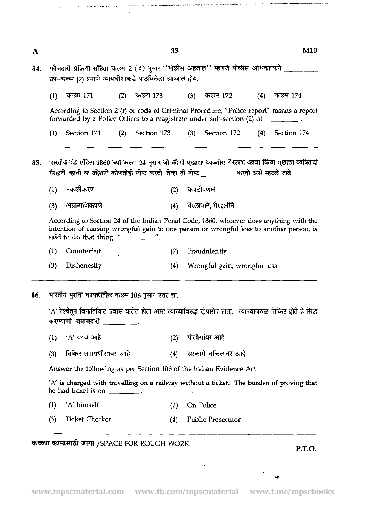$\mathbf{A}$ 

| 84.   फौजदारी प्रक्रिया संहिता कल्म 2 (द) नुसार ''पोलीस अहवाल'' म्हणजे पोलीस अधिकाऱ्याने ] |
|--------------------------------------------------------------------------------------------|
| उप–कल्म (2) प्रमाणे न्यायधीशाकडे पाठविलेला अहवाल होय.                                      |

 $(4)$ कलम 171  $(2)$ कलम 173 कलम 172 कलम 174  $(1)$  $(3)$ 

According to Section 2 (r) of code of Criminal Procedure, "Police report" means a report forwarded by a Police Officer to a magistrate under sub-section (2) of

(1) Section 171 (2) Section 173 (3) Section 172 (4) Section 174

- भारतीय दंड संहिता 1860 च्या कलम 24 नूसार जो कोंणी एखाद्या व्यक्तीस गैरलाभ व्हावा किंवा एखाद्या व्यक्तिची 85. गैरहानी व्हावी या उद्देशाने कोणतीही गोष्ट करतो. तेव्हा ती गोष्ट करतो असे म्हटले जाते.
	- नकलीकरण कपटीपणाने  $(1)$  $(2)$
	- अप्रामाणिकपणे गैरलाभाने गैरहानीने  $(3)$  $(4)$

According to Section 24 of the Indian Penal Code, 1860, whoever does anything with the intention of causing wrongful gain to one person or wrongful loss to another person, is said to do that thing. " $\frac{1}{\sqrt{2}}$ ".

- (1) Counterfeit (2) Fraudulently
- (3) Dishonestly (4) Wrongful gain, wrongful loss
- भारतीय परावा कायद्यातील कलम 106 नसार उत्तर द्या. 86.

'A' रेल्वेतून बिनातिकिट प्रवास करीत होता असा त्याच्याविरुद्ध दोषारोप होता. त्याच्याजवळ तिकिट होते हे सिद्ध करण्याची जबाबदारी

- $'$ A $'$  वरच आहे पोलीसांवर आहे  $(1)$  $(2)$
- तिकिट तपासणीसावर आहे सरकारी वकिलावर आहे  $(3)$  $(4)$

Answer the following as per Section 106 of the Indian Evidence Act.

'A' is charged with travelling on a railway without a ticket. The burden of proving that he had ticket is on \_\_\_\_\_\_\_\_.

- (1) 'A' himself (2) **On** Police
- (3) Ticket Checker (4) Public Prosecutor

3TlT@ GllTT /SPACE FOR ROUGH WORK **P.T.O.**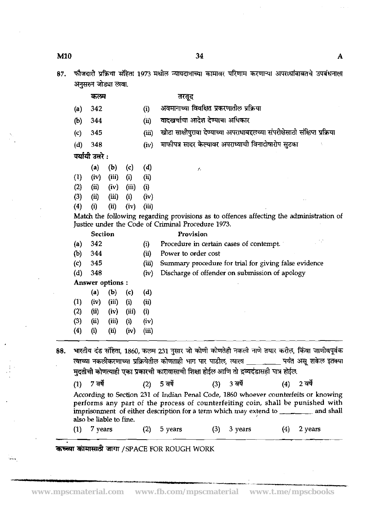फौजदारी प्रक्रिया संहिता 1973 मधील न्यायदानाच्या कामावर परिणाम करणाऱ्या अपरा<mark>धांबाबतचे उपबंधनाला</mark><br>अनुगमन जोकप खूबा 87.

|     |                   | जनुसरन भाड्या एक्षा.    |       |       |                                  |                                                                                                                                                                                                                                                                                               |  |
|-----|-------------------|-------------------------|-------|-------|----------------------------------|-----------------------------------------------------------------------------------------------------------------------------------------------------------------------------------------------------------------------------------------------------------------------------------------------|--|
|     |                   | कल्म                    |       |       |                                  | तरतूद                                                                                                                                                                                                                                                                                         |  |
|     | (a)               | 342                     |       |       | (i)                              | अवमानाच्या विवक्षित प्रकरणातील प्रक्रिया                                                                                                                                                                                                                                                      |  |
|     | (b)               | 344                     |       |       | (ii)                             | वादखर्चाचा आदेश देण्याचा अधिकार                                                                                                                                                                                                                                                               |  |
|     | $\left( c\right)$ | 345                     |       |       | (iii)                            | खोटा साक्षीपुरावा देण्याच्या अपराधाबद्दलच्या संपरीक्षेसाठी संक्षिप्त प्रक्रिया                                                                                                                                                                                                                |  |
|     | (d)               | 348                     |       |       | (iv)                             | माफीपत्र सादर केल्यावर अपराध्याची विनादोषारोप सुटका                                                                                                                                                                                                                                           |  |
|     |                   | पर्यायी उत्तरे :        |       |       |                                  |                                                                                                                                                                                                                                                                                               |  |
|     |                   | (a)                     | (b)   | (c)   | (d)                              | 7.                                                                                                                                                                                                                                                                                            |  |
|     | (1)               | (iv)                    | (iii) | (i)   | $\left(\ddot{\mathbf{u}}\right)$ |                                                                                                                                                                                                                                                                                               |  |
|     | (2)               | (ii)                    | (iv)  | (iii) | (i)                              |                                                                                                                                                                                                                                                                                               |  |
|     | (3)               | (ii)                    | (iii) | (i)   | (iv)                             |                                                                                                                                                                                                                                                                                               |  |
|     | (4)               | (i)                     | (ii)  | (iv)  | (iii)                            |                                                                                                                                                                                                                                                                                               |  |
|     |                   |                         |       |       |                                  | Match the following regarding provisions as to offences affecting the administration of<br>Justice under the Code of Criminal Procedure 1973.                                                                                                                                                 |  |
|     |                   | Section                 |       |       |                                  | Provision                                                                                                                                                                                                                                                                                     |  |
|     | (a)               | 342                     |       |       | (i)                              | 17<br>Procedure in certain cases of contempt.                                                                                                                                                                                                                                                 |  |
|     | (b)               | 344                     |       |       | (ii)                             | Power to order cost                                                                                                                                                                                                                                                                           |  |
|     | $\left( c\right)$ | 345                     |       |       | (iii)                            | Summary procedure for trial for giving false evidence                                                                                                                                                                                                                                         |  |
|     | (d)               | 348                     |       |       | (iv)                             | Discharge of offender on submission of apology                                                                                                                                                                                                                                                |  |
|     |                   | Answer options:         |       |       |                                  |                                                                                                                                                                                                                                                                                               |  |
|     |                   | (a)                     | (b)   | (c)   | (d)                              |                                                                                                                                                                                                                                                                                               |  |
|     | (1)               | (iv)                    | (iii) | (i)   | (i)                              |                                                                                                                                                                                                                                                                                               |  |
|     | (2)               | (ii)                    | (iv)  | (iii) | (i)                              |                                                                                                                                                                                                                                                                                               |  |
|     | (3)               | (ii)                    | (iii) | (i)   | (iv)                             |                                                                                                                                                                                                                                                                                               |  |
|     | (4)               | (i)                     | (ii)  | (iv)  | (iii)                            |                                                                                                                                                                                                                                                                                               |  |
| 88. |                   |                         |       |       |                                  | भारतीय दंड संहिता, 1860, कलम 231 नुसार जो कोणी कोणतेही नकली नाणे तयार करील, किंवा जाणीवपूर्वक<br>त्याच्या नकलीकरणाच्या प्रक्रियेतील कोणताही भाग पार पाडील, त्याला __________ पर्यंत असू शकेल इतक्या<br>मुदतीची कोणत्याही एका प्रकारची कारावासाची शिक्षा होईल आणि तो द्रव्यदंडासही पात्र होईल. |  |
|     | (1)               | 7 वर्षे                 |       |       |                                  | $(3) 3$ वर्षे<br>$(2) 5$ वर्षे<br>2 वर्षे<br>(4)                                                                                                                                                                                                                                              |  |
|     |                   | also be liable to fine. |       |       |                                  | According to Section 231 of Indian Penal Code, 1860 whoever counterfeits or knowing<br>performs any part of the process of counterfeiting coin, shall be punished with<br>imprisonment of either description for a term which may extend to ________ and shall                                |  |
|     | (1)               | 7 years                 |       |       | (2)                              | (3)<br>(4)<br>2 years<br>5 years<br>3 years                                                                                                                                                                                                                                                   |  |

कच्च्या कामासाठी जागा / SPACE FOR ROUGH WORK

 $\mathbf{A}$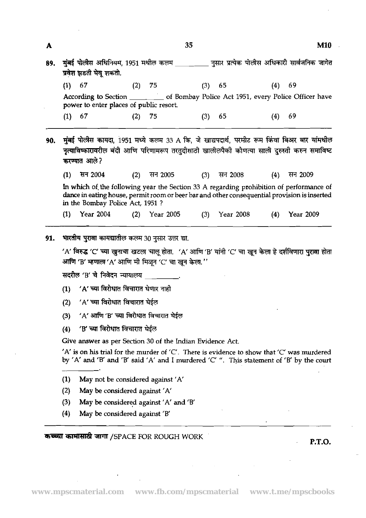| 89. |          | प्रवेश झडती घेवू शकतो.                                                                                                                                                                                                                               |     |                                 | मुंबई पोलीस अधिनियम, 1951 मधील कलम __________ नुसार प्रत्येक पोलीस अधिकारी सार्वजनिक जागेत |         |     |                  |  |  |  |  |
|-----|----------|------------------------------------------------------------------------------------------------------------------------------------------------------------------------------------------------------------------------------------------------------|-----|---------------------------------|--------------------------------------------------------------------------------------------|---------|-----|------------------|--|--|--|--|
|     | $(1)$ 67 |                                                                                                                                                                                                                                                      | (2) | 75                              | (3)                                                                                        | 65      | (4) | 69               |  |  |  |  |
|     |          | According to Section ________ of Bombay Police Act 1951, every Police Officer have<br>power to enter places of public resort.                                                                                                                        |     |                                 |                                                                                            |         |     |                  |  |  |  |  |
|     | (1)      | 67                                                                                                                                                                                                                                                   | (2) | 75                              | (3)                                                                                        | 65      | (4) | 69               |  |  |  |  |
| 90. |          | मुंबई पोलीस कायदा, 1951 मध्ये कलम 33 A कि, जे खाद्यपदार्थ, परमीट रूम किंवा बिअर बार यांमधील<br>नृत्याविष्कारावरील बंदी आणि परिणामरूप तरतुदीसाठी खालीलपैको कोणत्या साली दुरुस्ती करुन समाविष्ट<br>करण्यात आले?                                        |     |                                 |                                                                                            |         |     |                  |  |  |  |  |
|     | (1)      | सन 2004                                                                                                                                                                                                                                              | (2) | सन 2005                         | (3)                                                                                        | सन 2008 | (4) | सन 2009          |  |  |  |  |
|     |          | In which of the following year the Section 33 A regarding prohibition of performance of<br>dance in eating house, permit room or beer bar and other consequential provision is inserted<br>in the Bombay Police Act, 1951 ?                          |     |                                 |                                                                                            |         |     |                  |  |  |  |  |
|     | (1)      | <b>Year 2004</b>                                                                                                                                                                                                                                     |     | $(2)$ Year 2005 $(3)$ Year 2008 |                                                                                            |         | (4) | <b>Year 2009</b> |  |  |  |  |
|     |          |                                                                                                                                                                                                                                                      |     |                                 |                                                                                            |         |     |                  |  |  |  |  |
|     |          |                                                                                                                                                                                                                                                      |     |                                 |                                                                                            |         |     |                  |  |  |  |  |
|     |          | भारतीय पुरावा कायद्यातील कलम 30 नुसार उत्तर द्या.<br>'A' विरुद्ध 'C' च्या खुनाचा खटला चालू होता.  'A' आणि 'B' यांनी 'C' चा खून केला हे दर्शविणारा पुरावा होता                                                                                        |     |                                 |                                                                                            |         |     |                  |  |  |  |  |
| 91. |          | आणि 'B' म्हणाला 'A' आणि मी मिळून 'C' चा खून केला.''<br>सदरील 'B' चे निवेदन न्यायालय                                                                                                                                                                  |     |                                 |                                                                                            |         |     |                  |  |  |  |  |
|     | (1)      | 'A' च्या विरोधात विचारात घेणार नाही                                                                                                                                                                                                                  |     |                                 |                                                                                            |         |     |                  |  |  |  |  |
|     |          |                                                                                                                                                                                                                                                      |     |                                 |                                                                                            |         |     |                  |  |  |  |  |
|     | (2)      | 'A' च्या विरोधात विचारात घेईल                                                                                                                                                                                                                        |     |                                 |                                                                                            |         |     |                  |  |  |  |  |
|     | (3)      | 'A' आणि 'B' च्या विरोधात विचारात घेईल                                                                                                                                                                                                                |     |                                 |                                                                                            |         |     |                  |  |  |  |  |
|     | (4)      | 'B' च्या विरोधात विचारात घेईल                                                                                                                                                                                                                        |     |                                 |                                                                                            |         |     |                  |  |  |  |  |
|     |          | Give answer as per Section 30 of the Indian Evidence Act.<br>$A'$ is on his trial for the murder of 'C'. There is evidence to show that 'C' was murdered<br>by 'A' and 'B' and 'B' said 'A' and I murdered 'C' ". This statement of 'B' by the court |     |                                 |                                                                                            |         |     |                  |  |  |  |  |
|     | (1)      | May not be considered against 'A'                                                                                                                                                                                                                    |     |                                 |                                                                                            |         |     |                  |  |  |  |  |
|     | (2)      | May be considered against 'A'                                                                                                                                                                                                                        |     |                                 |                                                                                            |         |     |                  |  |  |  |  |
|     | (3)      | May be considered against 'A' and 'B'                                                                                                                                                                                                                |     |                                 |                                                                                            |         |     |                  |  |  |  |  |

35

 $\mathbf{A}$ 

 $\ddot{\phantom{a}}$ 

 $M10$ 

 $\cdot$ 

 $\overline{a}$ 

 $\bar{u}$ 

 $\mathcal{L}_{\mathcal{A}}$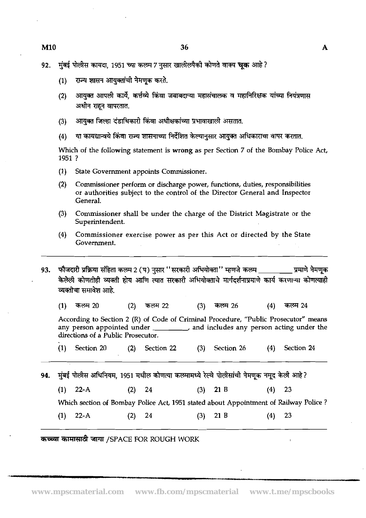- राज्य शासन आयुक्तांची नेमणूक करते.  $(1)$
- आयुक्त आपली कार्ये, कर्त्तव्ये किंवा जबाबदाऱ्या महासंचालक व महानिरिक्षक यांच्या नियंत्रणास  $(2)$ अधीन राहन वापरतात.
- आयक्त जिल्हा दंडाधिकारी किंवा अधीक्षकांच्या प्रभावाखाली असतात.  $(3)$
- या कायद्यान्वये किंवा राज्य शासनाच्या निर्देशित केल्यानुसार आयुक्त अधिकाराचा वापर करतात.  $(4)$

Which of the following statement is wrong as per Section 7 of the Bombay Police Act, **1951** ?

- **(1)** State Government appoints Commissioner.
- **(2)** Commissioner perform or discharge power, functions, duties, responsibilities or authorities subject to the control of the Director General and Inspector General.
- **(3)** Commissioner shall be under the charge of the District Magistrate or the Superintendent.
- **(4)** Commissioner exercise power as per this Act or directed by the State Government.
- फौजदारी प्रक्रिया संहिता कलम 2 (प) नुसार ''सरकारी अभियोक्ता'' म्हणजे कलम \_\_\_\_\_\_\_\_\_\_ प्रमाणे नेमणूक 93. केलेली कोणतीही व्यक्ती होय आणि त्यात सरकारी अभियोक्ताचे मार्गदर्शनाप्रमाणे कार्य करणाऱ्या कोणत्याही व्यक्तीचा समावेश आहे.
	- कलम 20 कलम 26 कलम 24  $(1)$  $(2)$ कलम 22  $(3)$  $(4)$

According to Section 2 (R) of Code of Criminal Procedure, "Public Prosecutor" means any person appointed under  $\sqrt{a}$  and includes any person acting under the directions of a Public Prosecutor.

- **(1)** Section **20 (2)** Section **22 (3)** Section **26 (4)** Section **24**
- 94. मुंबई पोलीस अधिनियम, 1951 मधील कोणत्या कलमामध्ये रेल्वे पोलीसांची नेमणूक नमूद केली आहे?
	- **(1) 22-A (2) 24 (3) 21** B **(4) 23**

Which section of Bombay Police Act, **1951** stated about Appointment of Railway Police ?

**(1)** 22-A **(2) 24 (3) 21** B **(4) 23** 

**W4Rd jrmr** /SPACE FOR ROUGH WORK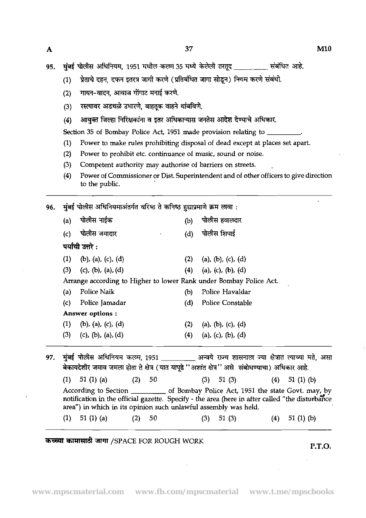A<br>195. मंबई पोलीस अधिनियम, 1951 मधील कलम 35 मध्ये केलेली तरतुद<br>प्रदेश का संबंधित आहे.

- (1) प्रेताचे दहन, दफन इतरत्र जागी करणे (प्रतिबंधित जागा सोडून) नियम करणे संबंधी.
- (2) गायन-वादन, आवाज गोंगाट मनाई करणे.
- (3) रस्त्यावर अडथळे उभारणे, वाहतूक वाहने थांबविणे.
- (4) आयुक्त जिल्हा निरिक्षकांना व इतर अधिकाऱ्यास जनतेस आदेश देण्याचे अधिकार.

Section 35 of Bombay Police Act, 1951 made provision relating to

- (1) Power to make rules prohibiting disposal of dead except at places set apart.
- (2) Power to prohibit etc. continuance of music, sound or noise.
- (3) Competent authority may authorise of barriers on streets.
- (4) Power of Commissioner or Dist. Superintendent and of other officers to give direction to the public.
- मुंबई पोलीस अधिनियमाअंतर्गत वरिष्ठ ते कनिष्ठ हुद्याप्रमाणे क्रम लावा : 96.  $\mathbf{A}$ ਧੀਲੀਸ ਜਾਵੰਦਾ  $(1)$   $\frac{1}{10}$  $\frac{1}{20}$  $\frac{1}{20}$  $\frac{1}{20}$  $\frac{1}{20}$

|     | (a) | weur covor         |        |           | נש) | <b>TIKYING BUYALE</b>                                                                                                                                                                                                                                      |     |                |
|-----|-----|--------------------|--------|-----------|-----|------------------------------------------------------------------------------------------------------------------------------------------------------------------------------------------------------------------------------------------------------------|-----|----------------|
|     | (c) | पोलीस जमादार       |        | $\bullet$ | (d) | पोलीस शिपाई                                                                                                                                                                                                                                                |     |                |
|     |     | पर्यायी उत्तरे :   |        |           |     |                                                                                                                                                                                                                                                            |     |                |
|     | (1) | (b), (a), (c), (d) |        |           | (2) | (a), (b), (c), (d)                                                                                                                                                                                                                                         |     |                |
|     | (3) | (c), (b), (a), (d) |        |           | (4) | (a), (c), (b), (d)                                                                                                                                                                                                                                         |     |                |
|     |     |                    |        |           |     | Arrange according to Higher to lower Rank under Bombay Police Act.                                                                                                                                                                                         |     |                |
|     | (a) | Police Naik        |        |           | (b) | Police Havaldar                                                                                                                                                                                                                                            |     |                |
|     | (c) | Police Jamadar     |        |           | (d) | Police Constable                                                                                                                                                                                                                                           |     |                |
|     |     | Answer options :   |        |           |     |                                                                                                                                                                                                                                                            |     |                |
|     | (1) | (b), (a), (c), (d) |        |           | (2) | (a), (b), (c), (d)                                                                                                                                                                                                                                         |     |                |
|     | (3) | (c), (b), (a), (d) |        |           | (4) | (a), (c), (b), (d)                                                                                                                                                                                                                                         |     |                |
| 97. |     |                    |        |           |     | मुंबई पोलीस अधिनियम कलम, 1951 _________ अन्वये राज्य शासनाला ज्या क्षेत्रात त्याच्या मते, असा<br>बेकायदेशीर जमाव जमला होता ते क्षेत्र (यात यापूढे ''अशांत क्षेत्र'' असे संबोधण्याचा) अधिकार आहे.                                                           |     |                |
|     | (1) | 51 $(1)$ $(a)$     | (2) 50 |           |     | $(3)$ 51 $(3)$                                                                                                                                                                                                                                             | (4) | 51 $(1)$ $(b)$ |
|     |     |                    |        |           |     | According to Section ____________ of Bombay Police Act, 1951 the state Govt. may, by<br>notification in the official gazette. Specify - the area (here in after called "the disturbance<br>area") in which in its opinion such unlawful assembly was held. |     |                |
|     | (1) | 51 $(1)$ $(a)$     | (2)    | 50        |     | (3)<br>51 (3)                                                                                                                                                                                                                                              | (4) | 51 $(1)$ $(b)$ |
|     |     |                    |        |           |     |                                                                                                                                                                                                                                                            |     |                |

**SWP& WW** /SPACE FOR ROUGH WORK **P.T.O.**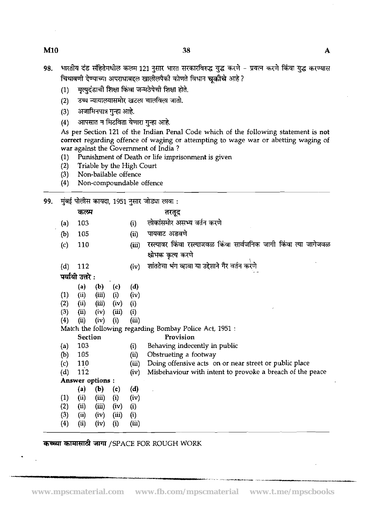- भारतीय दंड संहितेमधील कलम 121 नुसार भारत सरकारविरुद्ध युद्ध करणे प्रयत्न करणे किंवा युद्ध करण्यास 98. चिथावणी देण्याच्या अपराधाबद्दल खालीलपैकी कोणते विधान चुकीचे आहे?
	- मृत्युदंडाची शिक्षा किंवा जन्मठेपेची शिक्षा होते.  $(1)$
	- (2) उच्च न्यायालयासमोर खटला चालविला जातो<mark>.</mark><br>(3) अजामिनपात्र गुन्हा आहे.<br>(4) आपसात न मिटविता येणारा गुन्हा आहे.
	-
	- आपसात न मिटविता येणारा गुन्हा आहे.

As per Section 121 of the Indian Penal Code which of the following statement is not correct regarding offence of waging or attempting to wage war or abetting waging of war against the Government of India ?

- (1) Punishment of Death or life imprisonment is given<br>(2) Triable by the High Court
- (2) Triable by the High Court
- Non-bailable offence
- (4) Non-compoundable offence

**99.** 7& %h TiTl, 1951 **yR** &?GI F5Rf :

|                   |                  |       |                   |                            | मुंबई पालास कायदा, 1951 नुसार जाड्या लावा :                        |
|-------------------|------------------|-------|-------------------|----------------------------|--------------------------------------------------------------------|
|                   | कलम              |       |                   |                            | तरतूद                                                              |
| (a)               | 103              |       |                   | (i)                        | लोकांसमोर असभ्य वर्तन करणे                                         |
| (b)               | 105              |       |                   | (ii)                       | पायवाट अडवणे                                                       |
| $\left( c\right)$ | 110              |       |                   | (iii)                      | रस्त्यावर किंवा रस्त्याजवळ किंवा सार्वजनिक जागी किंवा त्या जागेजवळ |
|                   |                  |       |                   |                            | क्षोभक कृत्य करणे                                                  |
| (d)               | 112              |       |                   | (iv)                       | शांततेचा भंग व्हावा या उद्देशाने गैर वर्तन करणे                    |
|                   | पर्यायी उत्तरे : |       |                   |                            |                                                                    |
|                   | (a)              | (b)   | (c)               | (d)                        |                                                                    |
| (1)               | (ii)             | (iii) | (i)               | (iv)                       |                                                                    |
| (2)               | (ii)             | (iii) | (iv)              | (i)                        |                                                                    |
| (3)               | (i)              | (iv)  | (iii)             | (i)                        |                                                                    |
| (4)               | (ii)             | (iv)  | (i)               | (iii)                      |                                                                    |
|                   |                  |       |                   |                            | Match the following regarding Bombay Police Act, 1951 :            |
|                   | <b>Section</b>   |       |                   |                            | Provision                                                          |
| $\left( a\right)$ | 103              |       |                   | (i)                        | Behaving indecently in public                                      |
| (b)               | 105              |       |                   | $\left(\mathrm{ii}\right)$ | Obstrueting a footway                                              |
| (c)               | 110              |       |                   | (iii)                      | Doing offensive acts on or near street or public place             |
| (d)               | 112              |       |                   | (iv)                       | Misbehaviour with intent to provoke a breach of the peace          |
|                   | Answer options : |       |                   |                            |                                                                    |
|                   | (a)              | (b)   | (c)               | (d)                        |                                                                    |
| (1)               | (ii)             | (iii) | (i)               | (iv)                       |                                                                    |
| (2)               | (i)              | (iii) | (iv)              | (i)                        |                                                                    |
| (3)               | (ii)             | (iv)  | (iii)             | (i)                        |                                                                    |
| (4)               | (i)              | (iv)  | $\left( i\right)$ | (iii)                      |                                                                    |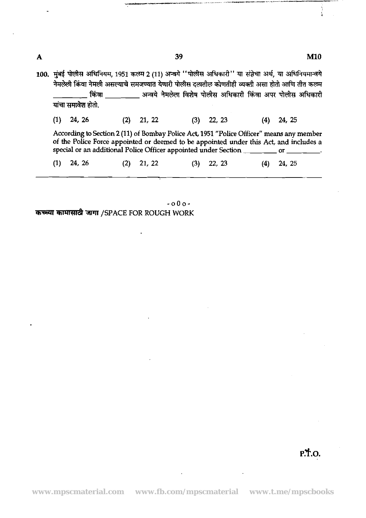|     | यांचा समावेश होतो. |     |        | 100. मुंबई पोलीस अधिनियम, 1951 कलम 2 (11) अन्वये ''पोलीस अधिकारी'' या संज्ञेचा अर्थ, या अधिनियमान्वये<br>नेमलेली किंवा नेमली असल्याचे समजण्यात येणारी पोलीस दलातील कोणतीही व्यक्ती असा होतो आणि तीत कलम<br>किंवा          अन्वये नेमलेल विशेष पोलीस अधिकारी किंवा अपर पोलीस अधिकारी |               |
|-----|--------------------|-----|--------|-------------------------------------------------------------------------------------------------------------------------------------------------------------------------------------------------------------------------------------------------------------------------------------|---------------|
| (1) | 24, 26             | (2) | 21, 22 | 22, 23<br>(3)                                                                                                                                                                                                                                                                       | 24, 25<br>(4) |
|     |                    |     |        | According to Section 2 (11) of Bombay Police Act, 1951 "Police Officer" means any member<br>of the Police Force appointed or deemed to be appointed under this Act, and includes a<br>special or an additional Police Officer appointed under Section ___________ or                |               |
| (1) | 24, 26             | (2) | 21, 22 | 22, 23<br>(3)                                                                                                                                                                                                                                                                       | 24, 25<br>(4) |

39

**-000- कच्च्या कामासाठी जागा /SPACE FOR ROUGH WORK** 

l.

 $\mathbf{A}$ 

## **M10**

 $\frac{1}{4}$